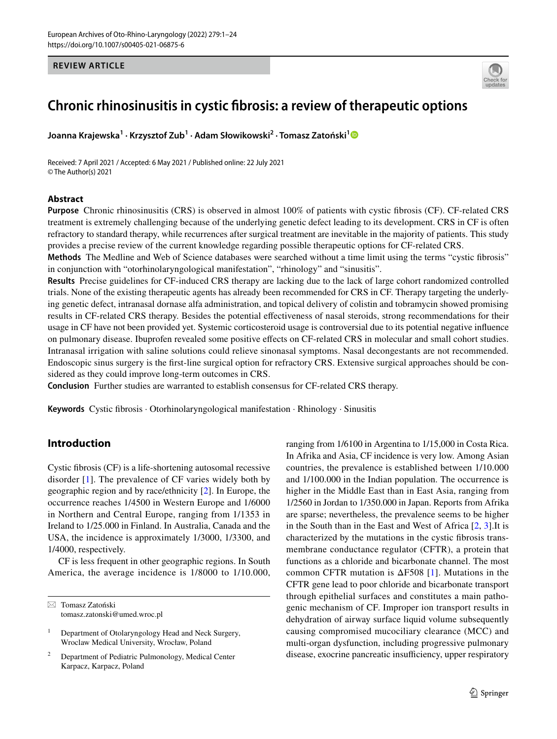### **REVIEW ARTICLE**



# **Chronic rhinosinusitis in cystic fbrosis: a review of therapeutic options**

**Joanna Krajewska1 · Krzysztof Zub1 · Adam Słowikowski2 · Tomasz Zatoński[1](http://orcid.org/0000-0003-3043-4806)**

Received: 7 April 2021 / Accepted: 6 May 2021 / Published online: 22 July 2021 © The Author(s) 2021

### **Abstract**

**Purpose** Chronic rhinosinusitis (CRS) is observed in almost 100% of patients with cystic fbrosis (CF). CF-related CRS treatment is extremely challenging because of the underlying genetic defect leading to its development. CRS in CF is often refractory to standard therapy, while recurrences after surgical treatment are inevitable in the majority of patients. This study provides a precise review of the current knowledge regarding possible therapeutic options for CF-related CRS.

**Methods** The Medline and Web of Science databases were searched without a time limit using the terms "cystic fbrosis" in conjunction with "otorhinolaryngological manifestation", "rhinology" and "sinusitis".

**Results** Precise guidelines for CF-induced CRS therapy are lacking due to the lack of large cohort randomized controlled trials. None of the existing therapeutic agents has already been recommended for CRS in CF. Therapy targeting the underlying genetic defect, intranasal dornase alfa administration, and topical delivery of colistin and tobramycin showed promising results in CF-related CRS therapy. Besides the potential efectiveness of nasal steroids, strong recommendations for their usage in CF have not been provided yet. Systemic corticosteroid usage is controversial due to its potential negative infuence on pulmonary disease. Ibuprofen revealed some positive efects on CF-related CRS in molecular and small cohort studies. Intranasal irrigation with saline solutions could relieve sinonasal symptoms. Nasal decongestants are not recommended. Endoscopic sinus surgery is the frst-line surgical option for refractory CRS. Extensive surgical approaches should be considered as they could improve long-term outcomes in CRS.

**Conclusion** Further studies are warranted to establish consensus for CF-related CRS therapy.

**Keywords** Cystic fbrosis · Otorhinolaryngological manifestation · Rhinology · Sinusitis

# **Introduction**

Cystic fbrosis (CF) is a life-shortening autosomal recessive disorder [\[1\]](#page-21-0). The prevalence of CF varies widely both by geographic region and by race/ethnicity [[2\]](#page-21-1). In Europe, the occurrence reaches 1/4500 in Western Europe and 1/6000 in Northern and Central Europe, ranging from 1/1353 in Ireland to 1/25.000 in Finland. In Australia, Canada and the USA, the incidence is approximately 1/3000, 1/3300, and 1/4000, respectively.

CF is less frequent in other geographic regions. In South America, the average incidence is 1/8000 to 1/10.000,

 $\boxtimes$  Tomasz Zatoński tomasz.zatonski@umed.wroc.pl ranging from 1/6100 in Argentina to 1/15,000 in Costa Rica. In Afrika and Asia, CF incidence is very low. Among Asian countries, the prevalence is established between 1/10.000 and 1/100.000 in the Indian population. The occurrence is higher in the Middle East than in East Asia, ranging from 1/2560 in Jordan to 1/350.000 in Japan. Reports from Afrika are sparse; nevertheless, the prevalence seems to be higher in the South than in the East and West of Africa [\[2](#page-21-1), [3\]](#page-21-2).It is characterized by the mutations in the cystic fbrosis transmembrane conductance regulator (CFTR), a protein that functions as a chloride and bicarbonate channel. The most common CFTR mutation is  $\Delta$ F508 [\[1](#page-21-0)]. Mutations in the CFTR gene lead to poor chloride and bicarbonate transport through epithelial surfaces and constitutes a main pathogenic mechanism of CF. Improper ion transport results in dehydration of airway surface liquid volume subsequently causing compromised mucociliary clearance (MCC) and multi-organ dysfunction, including progressive pulmonary disease, exocrine pancreatic insufficiency, upper respiratory

<sup>&</sup>lt;sup>1</sup> Department of Otolaryngology Head and Neck Surgery, Wroclaw Medical University, Wrocław, Poland

<sup>2</sup> Department of Pediatric Pulmonology, Medical Center Karpacz, Karpacz, Poland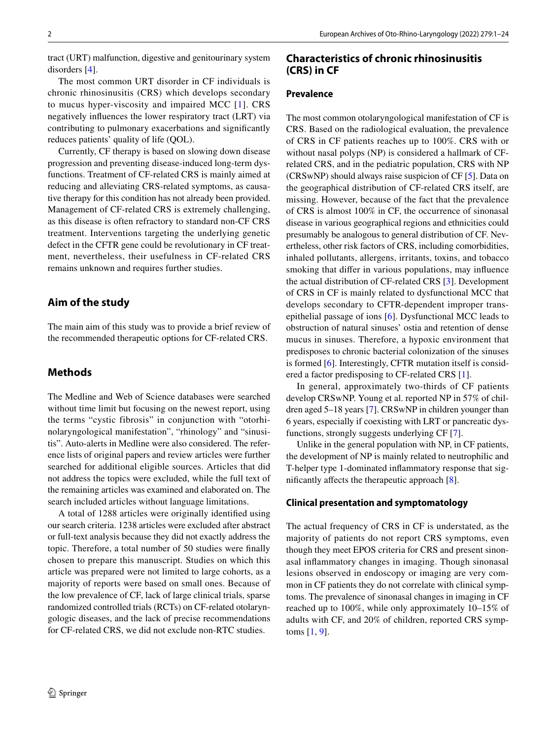tract (URT) malfunction, digestive and genitourinary system disorders [[4\]](#page-21-3).

The most common URT disorder in CF individuals is chronic rhinosinusitis (CRS) which develops secondary to mucus hyper-viscosity and impaired MCC [[1\]](#page-21-0). CRS negatively infuences the lower respiratory tract (LRT) via contributing to pulmonary exacerbations and signifcantly reduces patients' quality of life (QOL).

Currently, CF therapy is based on slowing down disease progression and preventing disease-induced long-term dysfunctions. Treatment of CF-related CRS is mainly aimed at reducing and alleviating CRS-related symptoms, as causative therapy for this condition has not already been provided. Management of CF-related CRS is extremely challenging, as this disease is often refractory to standard non-CF CRS treatment. Interventions targeting the underlying genetic defect in the CFTR gene could be revolutionary in CF treatment, nevertheless, their usefulness in CF-related CRS remains unknown and requires further studies.

# **Aim of the study**

The main aim of this study was to provide a brief review of the recommended therapeutic options for CF-related CRS.

# **Methods**

The Medline and Web of Science databases were searched without time limit but focusing on the newest report, using the terms "cystic fibrosis" in conjunction with "otorhinolaryngological manifestation", "rhinology" and "sinusitis". Auto-alerts in Medline were also considered. The reference lists of original papers and review articles were further searched for additional eligible sources. Articles that did not address the topics were excluded, while the full text of the remaining articles was examined and elaborated on. The search included articles without language limitations.

A total of 1288 articles were originally identifed using our search criteria. 1238 articles were excluded after abstract or full-text analysis because they did not exactly address the topic. Therefore, a total number of 50 studies were fnally chosen to prepare this manuscript. Studies on which this article was prepared were not limited to large cohorts, as a majority of reports were based on small ones. Because of the low prevalence of CF, lack of large clinical trials, sparse randomized controlled trials (RCTs) on CF-related otolaryngologic diseases, and the lack of precise recommendations for CF-related CRS, we did not exclude non-RTC studies.

### **Characteristics of chronic rhinosinusitis (CRS) in CF**

# **Prevalence**

The most common otolaryngological manifestation of CF is CRS. Based on the radiological evaluation, the prevalence of CRS in CF patients reaches up to 100%. CRS with or without nasal polyps (NP) is considered a hallmark of CFrelated CRS, and in the pediatric population, CRS with NP (CRSwNP) should always raise suspicion of CF [\[5](#page-21-4)]. Data on the geographical distribution of CF-related CRS itself, are missing. However, because of the fact that the prevalence of CRS is almost 100% in CF, the occurrence of sinonasal disease in various geographical regions and ethnicities could presumably be analogous to general distribution of CF. Nevertheless, other risk factors of CRS, including comorbidities, inhaled pollutants, allergens, irritants, toxins, and tobacco smoking that difer in various populations, may infuence the actual distribution of CF-related CRS [\[3](#page-21-2)]. Development of CRS in CF is mainly related to dysfunctional MCC that develops secondary to CFTR-dependent improper transepithelial passage of ions [[6\]](#page-21-5). Dysfunctional MCC leads to obstruction of natural sinuses' ostia and retention of dense mucus in sinuses. Therefore, a hypoxic environment that predisposes to chronic bacterial colonization of the sinuses is formed [[6\]](#page-21-5). Interestingly, CFTR mutation itself is considered a factor predisposing to CF-related CRS [[1\]](#page-21-0).

In general, approximately two-thirds of CF patients develop CRSwNP. Young et al. reported NP in 57% of children aged 5–18 years [[7\]](#page-21-6). CRSwNP in children younger than 6 years, especially if coexisting with LRT or pancreatic dysfunctions, strongly suggests underlying CF [[7\]](#page-21-6).

Unlike in the general population with NP, in CF patients, the development of NP is mainly related to neutrophilic and T-helper type 1-dominated infammatory response that signifcantly afects the therapeutic approach [\[8](#page-21-7)].

#### **Clinical presentation and symptomatology**

The actual frequency of CRS in CF is understated, as the majority of patients do not report CRS symptoms, even though they meet EPOS criteria for CRS and present sinonasal infammatory changes in imaging. Though sinonasal lesions observed in endoscopy or imaging are very common in CF patients they do not correlate with clinical symptoms. The prevalence of sinonasal changes in imaging in CF reached up to 100%, while only approximately 10–15% of adults with CF, and 20% of children, reported CRS symptoms [[1,](#page-21-0) [9\]](#page-21-8).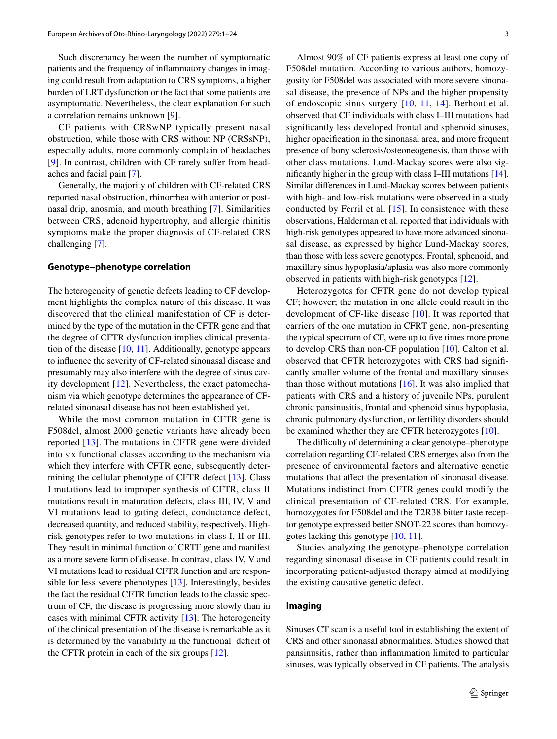Such discrepancy between the number of symptomatic patients and the frequency of infammatory changes in imaging could result from adaptation to CRS symptoms, a higher burden of LRT dysfunction or the fact that some patients are asymptomatic. Nevertheless, the clear explanation for such a correlation remains unknown [[9](#page-21-8)].

CF patients with CRSwNP typically present nasal obstruction, while those with CRS without NP (CRSsNP), especially adults, more commonly complain of headaches [\[9\]](#page-21-8). In contrast, children with CF rarely suffer from headaches and facial pain [[7\]](#page-21-6).

Generally, the majority of children with CF-related CRS reported nasal obstruction, rhinorrhea with anterior or postnasal drip, anosmia, and mouth breathing [[7\]](#page-21-6). Similarities between CRS, adenoid hypertrophy, and allergic rhinitis symptoms make the proper diagnosis of CF-related CRS challenging [[7\]](#page-21-6).

#### **Genotype–phenotype correlation**

The heterogeneity of genetic defects leading to CF development highlights the complex nature of this disease. It was discovered that the clinical manifestation of CF is determined by the type of the mutation in the CFTR gene and that the degree of CFTR dysfunction implies clinical presentation of the disease [\[10](#page-21-9), [11](#page-21-10)]. Additionally, genotype appears to infuence the severity of CF-related sinonasal disease and presumably may also interfere with the degree of sinus cavity development [[12](#page-21-11)]. Nevertheless, the exact patomechanism via which genotype determines the appearance of CFrelated sinonasal disease has not been established yet.

While the most common mutation in CFTR gene is F508del, almost 2000 genetic variants have already been reported [[13](#page-21-12)]. The mutations in CFTR gene were divided into six functional classes according to the mechanism via which they interfere with CFTR gene, subsequently deter-mining the cellular phenotype of CFTR defect [[13](#page-21-12)]. Class I mutations lead to improper synthesis of CFTR, class II mutations result in maturation defects, class III, IV, V and VI mutations lead to gating defect, conductance defect, decreased quantity, and reduced stability, respectively. Highrisk genotypes refer to two mutations in class I, II or III. They result in minimal function of CRTF gene and manifest as a more severe form of disease. In contrast, class IV, V and VI mutations lead to residual CFTR function and are responsible for less severe phenotypes [\[13](#page-21-12)]. Interestingly, besides the fact the residual CFTR function leads to the classic spectrum of CF, the disease is progressing more slowly than in cases with minimal CFTR activity  $[13]$  $[13]$ . The heterogeneity of the clinical presentation of the disease is remarkable as it is determined by the variability in the functional deficit of the CFTR protein in each of the six groups [[12](#page-21-11)].

Almost 90% of CF patients express at least one copy of F508del mutation. According to various authors, homozygosity for F508del was associated with more severe sinonasal disease, the presence of NPs and the higher propensity of endoscopic sinus surgery [[10,](#page-21-9) [11,](#page-21-10) [14](#page-21-13)]. Berhout et al. observed that CF individuals with class I–III mutations had signifcantly less developed frontal and sphenoid sinuses, higher opacification in the sinonasal area, and more frequent presence of bony sclerosis/osteoneogenesis, than those with other class mutations. Lund-Mackay scores were also signifcantly higher in the group with class I–III mutations [[14](#page-21-13)]. Similar diferences in Lund-Mackay scores between patients with high- and low-risk mutations were observed in a study conducted by Ferril et al. [[15](#page-21-14)]. In consistence with these observations, Halderman et al. reported that individuals with high-risk genotypes appeared to have more advanced sinonasal disease, as expressed by higher Lund-Mackay scores, than those with less severe genotypes. Frontal, sphenoid, and maxillary sinus hypoplasia/aplasia was also more commonly observed in patients with high-risk genotypes [[12\]](#page-21-11).

Heterozygotes for CFTR gene do not develop typical CF; however; the mutation in one allele could result in the development of CF-like disease [[10](#page-21-9)]. It was reported that carriers of the one mutation in CFRT gene, non-presenting the typical spectrum of CF, were up to fve times more prone to develop CRS than non-CF population [[10](#page-21-9)]. Calton et al. observed that CFTR heterozygotes with CRS had signifcantly smaller volume of the frontal and maxillary sinuses than those without mutations  $[16]$ . It was also implied that patients with CRS and a history of juvenile NPs, purulent chronic pansinusitis, frontal and sphenoid sinus hypoplasia, chronic pulmonary dysfunction, or fertility disorders should be examined whether they are CFTR heterozygotes [\[10](#page-21-9)].

The difficulty of determining a clear genotype–phenotype correlation regarding CF-related CRS emerges also from the presence of environmental factors and alternative genetic mutations that afect the presentation of sinonasal disease. Mutations indistinct from CFTR genes could modify the clinical presentation of CF-related CRS. For example, homozygotes for F508del and the T2R38 bitter taste receptor genotype expressed better SNOT-22 scores than homozygotes lacking this genotype [[10,](#page-21-9) [11\]](#page-21-10).

Studies analyzing the genotype–phenotype correlation regarding sinonasal disease in CF patients could result in incorporating patient-adjusted therapy aimed at modifying the existing causative genetic defect.

### **Imaging**

Sinuses CT scan is a useful tool in establishing the extent of CRS and other sinonasal abnormalities. Studies showed that pansinusitis, rather than infammation limited to particular sinuses, was typically observed in CF patients. The analysis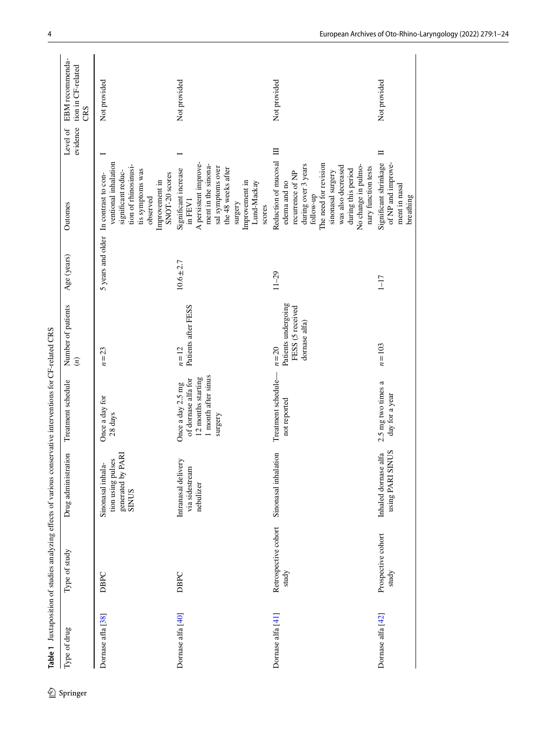| Type of drug      | Type of study                 | Drug administration                                                  | Treatment schedule                                                                               | Number of patients<br>$\left( n\right)$                              | Age (years)  | Outomes                                                                                                                                                                                                                              | evidence<br>Level of | EBM recommenda-<br>tion in CF-related<br>CRS |
|-------------------|-------------------------------|----------------------------------------------------------------------|--------------------------------------------------------------------------------------------------|----------------------------------------------------------------------|--------------|--------------------------------------------------------------------------------------------------------------------------------------------------------------------------------------------------------------------------------------|----------------------|----------------------------------------------|
| Dornase afla [38] | DBPC                          | generated by PARI<br>SINUS<br>tion using pulses<br>Sinonasal inhala- | Once a day for<br>$28~\mathrm{days}$                                                             | $n=23$                                                               |              | ventional inhalation<br>tion of rhinosinusi-<br>tis symptoms was<br>significant reduc-<br>SNOT-20 scores<br>5 years and older In contrast to con-<br>Improvement in<br>observed                                                      |                      | Not provided                                 |
| Dornase alfa [40] | DBPC                          | Intranasal delivery<br>via sidestream<br>nebulizer                   | 1 month after sinus<br>12 months starting<br>of dornase alfa for<br>Once a day 2.5 mg<br>surgery | Patients after FESS<br>$n=12$                                        | $10.6 + 2.7$ | A persistent improve-<br>ment in the sinona-<br>sal symptoms over<br>the 48 weeks after<br>Significant increase<br>Improvement in<br>Lund-Mackay<br>in FEV1<br>surgery<br>scores                                                     |                      | Not provided                                 |
| Dornase alfa [41] | Retrospective cohort<br>study | Sinonasal inhalation                                                 | Treatment schedule-<br>not reported                                                              | Patients undergoing<br>FESS (5 received<br>dornase alfa)<br>$n = 20$ | $11 - 29$    | Reduction of mucosal<br>The need for revision<br>during over 3 years<br>No change in pulmo-<br>was also decreased<br>nary function tests<br>during this period<br>sinonasal surgery<br>recurrence of NP<br>edema and no<br>follow-up | $\equiv$             | Not provided                                 |
| Dornase alfa [42] | Prospective cohort<br>study   | Inhaled dornase alfa<br>using PARI SINUS                             | 2.5 mg two times a<br>day for a year                                                             | $n=103$                                                              | $1 - 17$     | Significant shrinkage<br>of NP and improve-<br>ment in nasal<br>breathing                                                                                                                                                            | $\blacksquare$       | Not provided                                 |

Table 1 Juxtaposition of studies analyzing effects of various conservative interventions for CF-related CRS

<span id="page-3-0"></span> $\underline{\mathcal{D}}$  Springer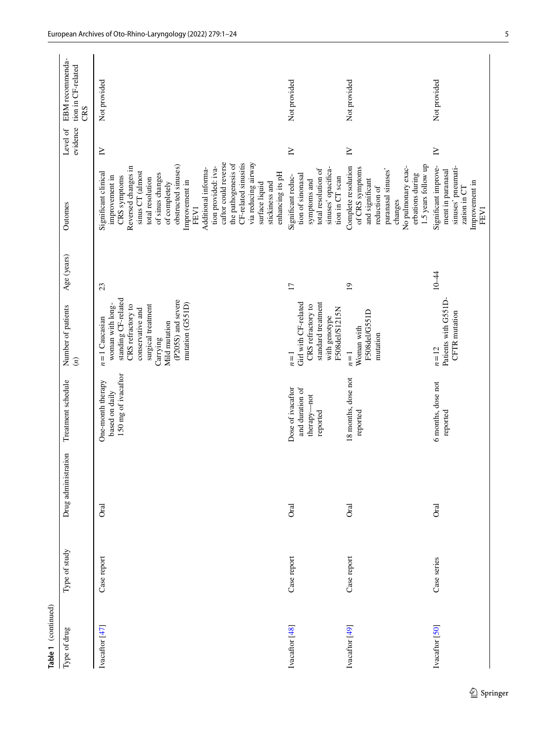| Table 1 (continued) |               |                     |                                                                 |                                                                                                                                                                                                  |                 |                                                                                                                                                                                                                                                                                                                                                                                                                 |                      |                                              |
|---------------------|---------------|---------------------|-----------------------------------------------------------------|--------------------------------------------------------------------------------------------------------------------------------------------------------------------------------------------------|-----------------|-----------------------------------------------------------------------------------------------------------------------------------------------------------------------------------------------------------------------------------------------------------------------------------------------------------------------------------------------------------------------------------------------------------------|----------------------|----------------------------------------------|
| Type of drug        | Type of study | Drug administration | Treatment schedule                                              | Number of patients<br>$\left( n\right)$                                                                                                                                                          | Age (years)     | Outomes                                                                                                                                                                                                                                                                                                                                                                                                         | evidence<br>Level of | EBM recommenda-<br>tion in CF-related<br>CRS |
| Ivacaftor [47]      | Case report   | <b>Oral</b>         | 150 mg of ivacaftor<br>One-month therapy<br>based on daily      | standing CF-related<br>(P205S) and severe<br>mutation (G551D)<br>woman with long-<br>surgical treatment<br>CRS refractory to<br>conservative and<br>$n=1$ Caucasian<br>Mild mutation<br>Carrying | 23              | caftor could reverse<br>CF-related sinusitis<br>the pathogenesis of<br>via reducing airway<br>obstructed sinuses)<br>tion provided: iva-<br>Reversed changes in<br>Additional informa-<br>sinus CT (almost<br>Significant clinical<br>enhancing its pH<br>of sinus changes<br>CRS symptoms<br>improvement in<br>total resolution<br>Improvement in<br>of completely<br>stickiness and<br>surface liquid<br>FEV1 | $\geq$               | Not provided                                 |
| Ivacaftor [48]      | Case report   | <b>Oral</b>         | Dose of ivacaftor<br>and duration of<br>therapy-not<br>reported | Girl with CF-related<br>standard treatment<br>CRS refractory to<br>F508del/S1215N<br>with genotype<br>$n=1$                                                                                      | $\overline{17}$ | sinuses' opacifica-<br>total resolution of<br>tion of sinonasal<br>Significant reduc-<br>tion in CT scan<br>symptoms and                                                                                                                                                                                                                                                                                        | $\geq$               | Not provided                                 |
| Ivacaftor [49]      | Case report   | <b>Oral</b>         | 18 months, dose not<br>reported                                 | F508del/G551D<br>Woman with<br>mutation<br>$n=1$                                                                                                                                                 | $\overline{0}$  | 1.5 years follow up<br>No pulmonary exac-<br>Complete resolution<br>of CRS symptoms<br>paranasal sinuses'<br>erbations during<br>and significant<br>reduction of<br>changes                                                                                                                                                                                                                                     | $\geq$               | Not provided                                 |
| Ivacaftor [50]      | Case series   | <b>Oral</b>         | 6 months, dose not<br>reported                                  | Patients with G551D-<br>CFTR mutation<br>$n=12$                                                                                                                                                  | $10 - 44$       | Significant improve-<br>sinuses' pneumati-<br>ment in paranasal<br>Improvement in<br>zation in CT<br>FEV1                                                                                                                                                                                                                                                                                                       | $\geq$               | Not provided                                 |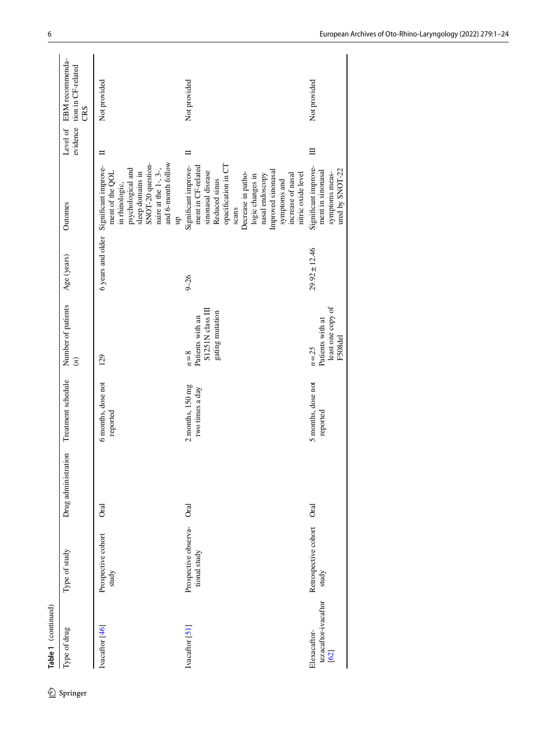| EBM recommenda-<br>evidence tion in CF-related<br>CRS | Not provided                                                                                                                                                                      | Not provided                                                                                                                                                                                                                                                   | Not provided                                                                   |
|-------------------------------------------------------|-----------------------------------------------------------------------------------------------------------------------------------------------------------------------------------|----------------------------------------------------------------------------------------------------------------------------------------------------------------------------------------------------------------------------------------------------------------|--------------------------------------------------------------------------------|
| Level of                                              | ⊨                                                                                                                                                                                 | ᄇ                                                                                                                                                                                                                                                              | Ξ                                                                              |
| Outomes                                               | and 6-month follow<br>SNOT-20 question-<br>Significant improve-<br>naire at the $1$ -, $3$ -,<br>psychological and<br>ment of the QOL<br>sleep domains in<br>in rhinologic,<br>qn | opacification in CT<br>Significant improve-<br>ment in CF-related<br>Improved sinonasal<br>sinonasal disease<br>Decrease in patho-<br>nitric oxide level<br>nasal endoscopy<br>increase of nasal<br>logic changes in<br>Reduced sinus<br>symptoms and<br>scans | Significant improve-<br>ured by SNOT-22<br>ment in sinonasal<br>symptoms meas- |
| Age (years)                                           | 6 years and older                                                                                                                                                                 | $9 - 26$                                                                                                                                                                                                                                                       | $29.92 \pm 12.46$                                                              |
| Number of patients<br>$\left(\mathfrak{n}\right)$     | 129                                                                                                                                                                               | S1251N class III<br>gating mutation<br>Patients with an<br>$n=8$                                                                                                                                                                                               | least one copy of<br>Patients with at<br>F508 <sub>del</sub><br>$n = 25$       |
| Treatment schedule                                    | 6 months, dose not<br>reported                                                                                                                                                    | $2$ months, $150$ mg<br>two times a day                                                                                                                                                                                                                        | 5 months, dose not<br>reported                                                 |
| Drug administration                                   | ā                                                                                                                                                                                 | <b>Oral</b>                                                                                                                                                                                                                                                    | <b>Oral</b>                                                                    |
| Type of study                                         | Prospective cohort<br>study                                                                                                                                                       | Prospective observa-<br>tional study                                                                                                                                                                                                                           | Retrospective cohort<br>study                                                  |
| Type of drug                                          | Ivacaftor [46]                                                                                                                                                                    | Ivacaftor [51]                                                                                                                                                                                                                                                 | tezacaftor-ivacaftor<br>Elexacaftor-<br>$\overline{62}$                        |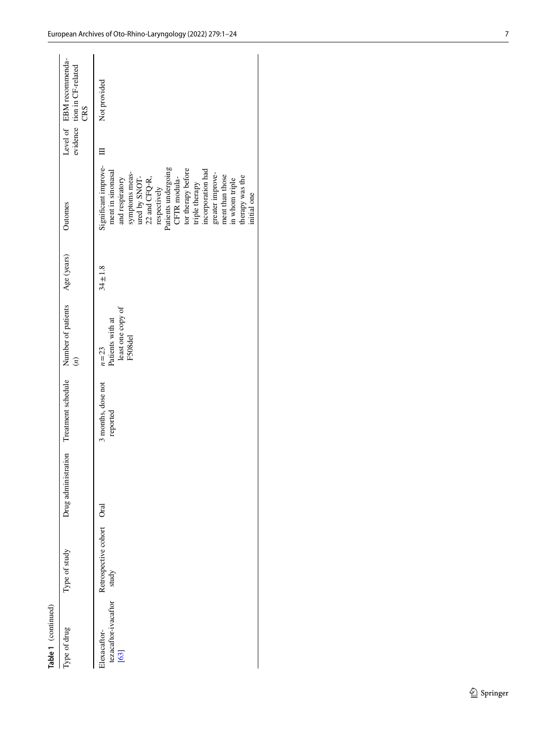| Table 1 (continued)                                |                           |                     |                                |                                                            |              |                                                                                                                                                                                                                                                                                                                                 |                                                                |
|----------------------------------------------------|---------------------------|---------------------|--------------------------------|------------------------------------------------------------|--------------|---------------------------------------------------------------------------------------------------------------------------------------------------------------------------------------------------------------------------------------------------------------------------------------------------------------------------------|----------------------------------------------------------------|
| Type of drug                                       | Type of study             | Drug administration | Treatment schedule             | Number of patients<br>$\widetilde{c}$                      | Age (years)  | Outomes                                                                                                                                                                                                                                                                                                                         | Level of EBM recommenda-<br>evidence tion in CF-related<br>CRS |
| tezacaftor-ivacaftor study<br>Elexacaftor-<br>[63] | Retrospective cohort Oral |                     | 3 months, dose not<br>reported | least one copy of<br>Patients with at<br>F508del<br>$n=23$ | $34 \pm 1.8$ | Significant improve-<br>Patients undergoing<br>tor therapy before<br>incorporation had<br>ment in sinonasal<br>symptoms meas-<br>greater improve-<br>ment than those<br>therapy was the<br>ured by SNOT-<br>CFTR modula-<br>and respiratory<br>22 and CFQ-R,<br>in whom triple<br>triple therapy<br>respectively<br>initial one | Not provided                                                   |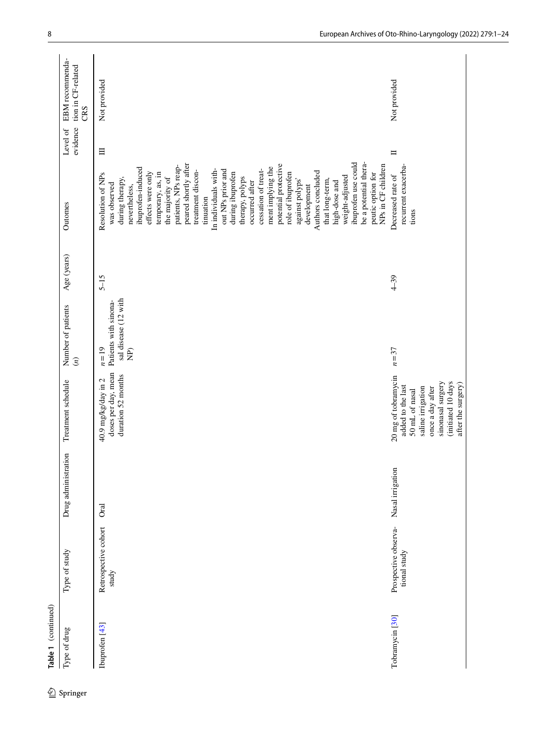| Type of drug               | Type of study                        | Drug administration | Treatment schedule                                                                                                                                                   | Number of patients<br>$\left( n\right)$                                           | Age (years) | Outomes                                                                                                                                                                                                                                                                                                                                                                                                                                                                                                                                                                                                                                          | evidence<br>Level of | EBM recommenda-<br>tion in CF-related<br>CRS |
|----------------------------|--------------------------------------|---------------------|----------------------------------------------------------------------------------------------------------------------------------------------------------------------|-----------------------------------------------------------------------------------|-------------|--------------------------------------------------------------------------------------------------------------------------------------------------------------------------------------------------------------------------------------------------------------------------------------------------------------------------------------------------------------------------------------------------------------------------------------------------------------------------------------------------------------------------------------------------------------------------------------------------------------------------------------------------|----------------------|----------------------------------------------|
| Ibuprofen <sup>[43]</sup>  | Retrospective cohort<br>study        | <b>Oral</b>         | doses per day, mean<br>duration 52 months<br>40.9 mg/kg/day in 2                                                                                                     | sal disease (12 with<br>Patients with sinona-<br>$n=19$<br>$\widehat{\mathbf{E}}$ | $5 - 15$    | ibuprofen use could<br>be a potential thera-<br>peared shortly after<br>potential protective<br>NPs in CF children<br>patients, NPs reap-<br>ment implying the<br>ibuprofen-induced<br>cessation of treat-<br>In individuals with-<br>out NPs prior and<br>treatment discon-<br>Authors concluded<br>effects were only<br>temporary, as, in<br>during ibuprofen<br>role of ibuprofen<br>peutic option for<br>Resolution of NPs<br>weight-adjusted<br>therapy, polyps<br>the majority of<br>during therapy,<br>against polyps'<br>that long-term,<br>occurred after<br>high-dose and<br>was observed<br>development<br>nevertheless,<br>tinuation | $\equiv$             | Not provided                                 |
| Tobramycin <sup>[30]</sup> | Prospective observa-<br>tional study | Nasal irrigation    | 20 mg of tobramycin<br>sinonasal surgery<br>(initiated 10 days<br>after the surgery)<br>added to the last<br>saline irrigation<br>once a day after<br>50 mL of nasal | $n = 37$                                                                          | $4 - 39$    | recurrent exacerba-<br>Decreased rate of<br>tions                                                                                                                                                                                                                                                                                                                                                                                                                                                                                                                                                                                                | $\Box$               | Not provided                                 |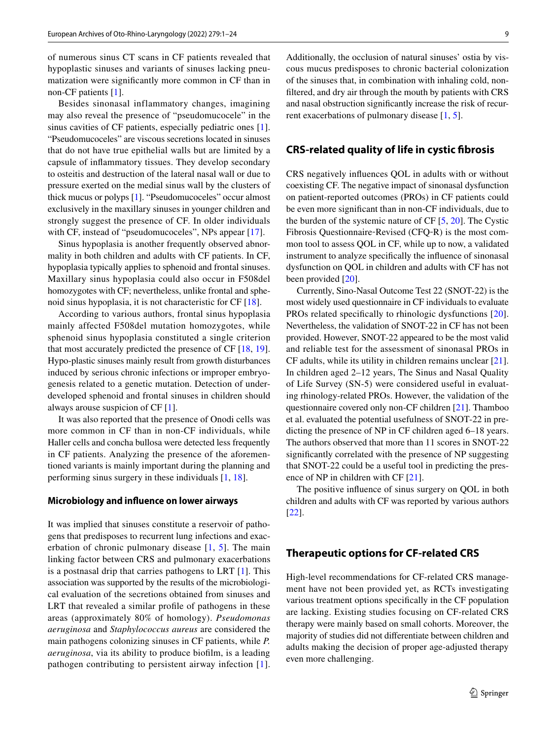of numerous sinus CT scans in CF patients revealed that hypoplastic sinuses and variants of sinuses lacking pneumatization were signifcantly more common in CF than in non-CF patients [[1\]](#page-21-0).

Besides sinonasal inflammatory changes, imagining may also reveal the presence of "pseudomucocele" in the sinus cavities of CF patients, especially pediatric ones [\[1](#page-21-0)]. "Pseudomucoceles" are viscous secretions located in sinuses that do not have true epithelial walls but are limited by a capsule of infammatory tissues. They develop secondary to osteitis and destruction of the lateral nasal wall or due to pressure exerted on the medial sinus wall by the clusters of thick mucus or polyps [[1\]](#page-21-0). "Pseudomucoceles" occur almost exclusively in the maxillary sinuses in younger children and strongly suggest the presence of CF. In older individuals with CF, instead of "pseudomucoceles", NPs appear [[17\]](#page-21-16).

Sinus hypoplasia is another frequently observed abnormality in both children and adults with CF patients. In CF, hypoplasia typically applies to sphenoid and frontal sinuses. Maxillary sinus hypoplasia could also occur in F508del homozygotes with CF; nevertheless, unlike frontal and sphenoid sinus hypoplasia, it is not characteristic for CF [\[18](#page-21-17)].

According to various authors, frontal sinus hypoplasia mainly affected F508del mutation homozygotes, while sphenoid sinus hypoplasia constituted a single criterion that most accurately predicted the presence of CF [[18,](#page-21-17) [19](#page-21-18)]. Hypo-plastic sinuses mainly result from growth disturbances induced by serious chronic infections or improper embryogenesis related to a genetic mutation. Detection of underdeveloped sphenoid and frontal sinuses in children should always arouse suspicion of CF [\[1](#page-21-0)].

It was also reported that the presence of Onodi cells was more common in CF than in non-CF individuals, while Haller cells and concha bullosa were detected less frequently in CF patients. Analyzing the presence of the aforementioned variants is mainly important during the planning and performing sinus surgery in these individuals [\[1](#page-21-0), [18](#page-21-17)].

#### **Microbiology and infuence on lower airways**

It was implied that sinuses constitute a reservoir of pathogens that predisposes to recurrent lung infections and exacerbation of chronic pulmonary disease  $[1, 5]$  $[1, 5]$  $[1, 5]$  $[1, 5]$ . The main linking factor between CRS and pulmonary exacerbations is a postnasal drip that carries pathogens to LRT [\[1](#page-21-0)]. This association was supported by the results of the microbiological evaluation of the secretions obtained from sinuses and LRT that revealed a similar profle of pathogens in these areas (approximately 80% of homology). *Pseudomonas aeruginosa* and *Staphylococcus aureus* are considered the main pathogens colonizing sinuses in CF patients, while *P. aeruginosa*, via its ability to produce bioflm, is a leading pathogen contributing to persistent airway infection [[1](#page-21-0)].

Additionally, the occlusion of natural sinuses' ostia by viscous mucus predisposes to chronic bacterial colonization of the sinuses that, in combination with inhaling cold, nonfltered, and dry air through the mouth by patients with CRS and nasal obstruction signifcantly increase the risk of recurrent exacerbations of pulmonary disease [\[1](#page-21-0), [5](#page-21-4)].

### **CRS‑related quality of life in cystic fbrosis**

CRS negatively infuences QOL in adults with or without coexisting CF. The negative impact of sinonasal dysfunction on patient-reported outcomes (PROs) in CF patients could be even more signifcant than in non-CF individuals, due to the burden of the systemic nature of CF [[5,](#page-21-4) [20](#page-21-19)]. The Cystic Fibrosis Questionnaire‐Revised (CFQ‐R) is the most common tool to assess QOL in CF, while up to now, a validated instrument to analyze specifcally the infuence of sinonasal dysfunction on QOL in children and adults with CF has not been provided [\[20](#page-21-19)].

Currently, Sino-Nasal Outcome Test 22 (SNOT-22) is the most widely used questionnaire in CF individuals to evaluate PROs related specifically to rhinologic dysfunctions [[20](#page-21-19)]. Nevertheless, the validation of SNOT-22 in CF has not been provided. However, SNOT-22 appeared to be the most valid and reliable test for the assessment of sinonasal PROs in CF adults, while its utility in children remains unclear [\[21](#page-21-20)]. In children aged 2–12 years, The Sinus and Nasal Quality of Life Survey (SN-5) were considered useful in evaluating rhinology-related PROs. However, the validation of the questionnaire covered only non-CF children [[21\]](#page-21-20). Thamboo et al. evaluated the potential usefulness of SNOT-22 in predicting the presence of NP in CF children aged 6–18 years. The authors observed that more than 11 scores in SNOT-22 signifcantly correlated with the presence of NP suggesting that SNOT-22 could be a useful tool in predicting the presence of NP in children with CF [[21\]](#page-21-20).

The positive infuence of sinus surgery on QOL in both children and adults with CF was reported by various authors [[22\]](#page-21-21).

### **Therapeutic options for CF‑related CRS**

High-level recommendations for CF-related CRS management have not been provided yet, as RCTs investigating various treatment options specifcally in the CF population are lacking. Existing studies focusing on CF-related CRS therapy were mainly based on small cohorts. Moreover, the majority of studies did not diferentiate between children and adults making the decision of proper age-adjusted therapy even more challenging.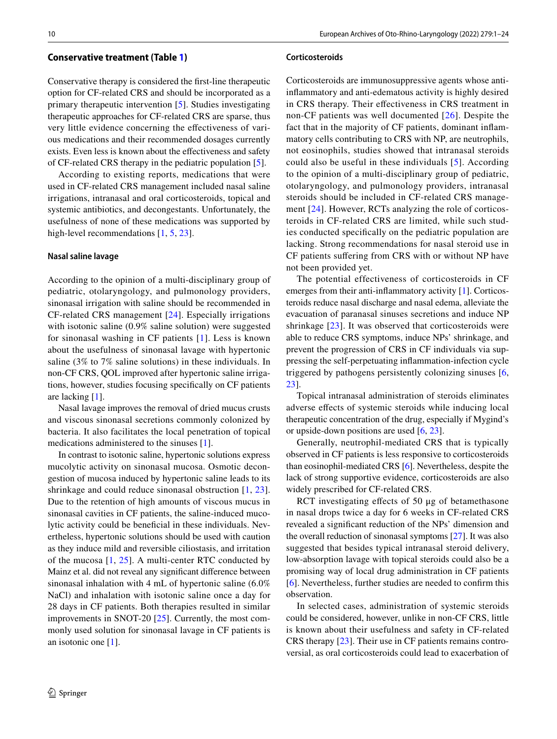Conservative therapy is considered the frst-line therapeutic option for CF-related CRS and should be incorporated as a primary therapeutic intervention [\[5\]](#page-21-4). Studies investigating therapeutic approaches for CF-related CRS are sparse, thus very little evidence concerning the efectiveness of various medications and their recommended dosages currently exists. Even less is known about the efectiveness and safety of CF-related CRS therapy in the pediatric population [\[5](#page-21-4)].

According to existing reports, medications that were used in CF-related CRS management included nasal saline irrigations, intranasal and oral corticosteroids, topical and systemic antibiotics, and decongestants. Unfortunately, the usefulness of none of these medications was supported by high-level recommendations [[1,](#page-21-0) [5,](#page-21-4) [23\]](#page-21-22).

#### **Nasal saline lavage**

According to the opinion of a multi-disciplinary group of pediatric, otolaryngology, and pulmonology providers, sinonasal irrigation with saline should be recommended in CF-related CRS management [\[24\]](#page-21-23). Especially irrigations with isotonic saline (0.9% saline solution) were suggested for sinonasal washing in CF patients [[1\]](#page-21-0). Less is known about the usefulness of sinonasal lavage with hypertonic saline (3% to 7% saline solutions) in these individuals. In non-CF CRS, QOL improved after hypertonic saline irrigations, however, studies focusing specifcally on CF patients are lacking [\[1](#page-21-0)].

Nasal lavage improves the removal of dried mucus crusts and viscous sinonasal secretions commonly colonized by bacteria. It also facilitates the local penetration of topical medications administered to the sinuses [\[1](#page-21-0)].

In contrast to isotonic saline, hypertonic solutions express mucolytic activity on sinonasal mucosa. Osmotic decongestion of mucosa induced by hypertonic saline leads to its shrinkage and could reduce sinonasal obstruction [\[1](#page-21-0), [23](#page-21-22)]. Due to the retention of high amounts of viscous mucus in sinonasal cavities in CF patients, the saline-induced mucolytic activity could be benefcial in these individuals. Nevertheless, hypertonic solutions should be used with caution as they induce mild and reversible ciliostasis, and irritation of the mucosa [\[1,](#page-21-0) [25\]](#page-21-24). A multi-center RTC conducted by Mainz et al. did not reveal any signifcant diference between sinonasal inhalation with 4 mL of hypertonic saline (6.0% NaCl) and inhalation with isotonic saline once a day for 28 days in CF patients. Both therapies resulted in similar improvements in SNOT-20 [[25\]](#page-21-24). Currently, the most commonly used solution for sinonasal lavage in CF patients is an isotonic one [[1\]](#page-21-0).

#### **Corticosteroids**

Corticosteroids are immunosuppressive agents whose antiinfammatory and anti-edematous activity is highly desired in CRS therapy. Their efectiveness in CRS treatment in non-CF patients was well documented [[26\]](#page-21-25). Despite the fact that in the majority of CF patients, dominant infammatory cells contributing to CRS with NP, are neutrophils, not eosinophils, studies showed that intranasal steroids could also be useful in these individuals [\[5\]](#page-21-4). According to the opinion of a multi-disciplinary group of pediatric, otolaryngology, and pulmonology providers, intranasal steroids should be included in CF-related CRS management [[24](#page-21-23)]. However, RCTs analyzing the role of corticosteroids in CF-related CRS are limited, while such studies conducted specifcally on the pediatric population are lacking. Strong recommendations for nasal steroid use in CF patients sufering from CRS with or without NP have not been provided yet.

The potential effectiveness of corticosteroids in CF emerges from their anti-infammatory activity [[1\]](#page-21-0). Corticosteroids reduce nasal discharge and nasal edema, alleviate the evacuation of paranasal sinuses secretions and induce NP shrinkage [[23](#page-21-22)]. It was observed that corticosteroids were able to reduce CRS symptoms, induce NPs' shrinkage, and prevent the progression of CRS in CF individuals via suppressing the self-perpetuating infammation-infection cycle triggered by pathogens persistently colonizing sinuses [[6,](#page-21-5) [23](#page-21-22)].

Topical intranasal administration of steroids eliminates adverse efects of systemic steroids while inducing local therapeutic concentration of the drug, especially if Mygind's or upside-down positions are used [[6,](#page-21-5) [23\]](#page-21-22).

Generally, neutrophil-mediated CRS that is typically observed in CF patients is less responsive to corticosteroids than eosinophil-mediated CRS [\[6](#page-21-5)]. Nevertheless, despite the lack of strong supportive evidence, corticosteroids are also widely prescribed for CF-related CRS.

RCT investigating effects of 50 μg of betamethasone in nasal drops twice a day for 6 weeks in CF-related CRS revealed a signifcant reduction of the NPs' dimension and the overall reduction of sinonasal symptoms [[27\]](#page-21-26). It was also suggested that besides typical intranasal steroid delivery, low-absorption lavage with topical steroids could also be a promising way of local drug administration in CF patients [[6\]](#page-21-5). Nevertheless, further studies are needed to confrm this observation.

In selected cases, administration of systemic steroids could be considered, however, unlike in non-CF CRS, little is known about their usefulness and safety in CF-related CRS therapy [[23\]](#page-21-22). Their use in CF patients remains controversial, as oral corticosteroids could lead to exacerbation of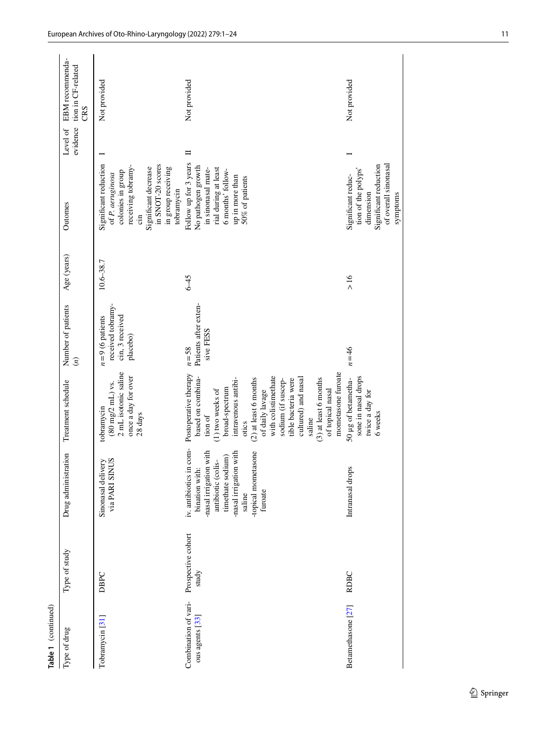| Table 1 (continued)                     |                             |                                                                                                                                                                                      |                                                                                                                                                                                                                                                                                                                                                    |                                                                       |               |                                                                                                                                                                              |                      |                                              |
|-----------------------------------------|-----------------------------|--------------------------------------------------------------------------------------------------------------------------------------------------------------------------------------|----------------------------------------------------------------------------------------------------------------------------------------------------------------------------------------------------------------------------------------------------------------------------------------------------------------------------------------------------|-----------------------------------------------------------------------|---------------|------------------------------------------------------------------------------------------------------------------------------------------------------------------------------|----------------------|----------------------------------------------|
| Type of drug                            | Type of study               | Drug administration                                                                                                                                                                  | Treatment schedule                                                                                                                                                                                                                                                                                                                                 | Number of patients<br>$\binom{n}{k}$                                  | Age (years)   | Outomes                                                                                                                                                                      | evidence<br>Level of | EBM recommenda-<br>tion in CF-related<br>CRS |
| Tobramycin <sup>[31]</sup>              | DBPC                        | via PARI SINUS<br>Sinonasal delivery                                                                                                                                                 | 2 mL isotonic saline<br>once a day for over<br>$(80 \text{ mg}/2 \text{ mL})$ vs.<br>tobramycin<br>28 days                                                                                                                                                                                                                                         | received tobramy-<br>cin, 3 received<br>$n=9$ (6 patients<br>placebo) | $10.6 - 38.7$ | Significant reduction<br>in SNOT-20 scores<br>receiving tobramy-<br>Significant decrease<br>in group receiving<br>colonies in group<br>of P. aeruginosa<br>tobramycin<br>.in |                      | Not provided                                 |
| Combination of vari-<br>ous agents [33] | Prospective cohort<br>study | iv. antibiotics in com-<br>-topical mometasone<br>-nasal irrigation with<br>-nasal irrigation with<br>timethate sodium)<br>antibiotic (colis-<br>bination with:<br>furoate<br>saline | mometasone furoate<br>Postoperative therapy<br>with colistimethate<br>based on combina-<br>$(3)$ at least 6 months<br>$(2)$ at least 6 months<br>cultured) and nasal<br>intravenous antibi-<br>tible bacteria were<br>sodium (if suscep-<br>broad-spectrum<br>of topical nasal<br>1) two weeks of<br>of daily lavage<br>tion of<br>saline<br>otics | Patients after exten-<br>sive FESS<br>$n = 58$                        | $6 - 45$      | Follow up for 3 years<br>No pathogen growth<br>rial during at least<br>in sinonasal mate-<br>6 months' follow-<br>up in more than<br>50% of patients                         | Ħ                    | Not provided                                 |
| Betamethasone [27]                      | <b>RDBC</b>                 | Intranasal drops                                                                                                                                                                     | sone in nasal drops<br>50 µg of betametha-<br>twice a day for<br>6 weeks                                                                                                                                                                                                                                                                           | $n = 46$                                                              | >16           | of overall sinonasal<br>Significant reduction<br>tion of the polyps'<br>Significant reduc-<br>dimension<br>symptoms                                                          |                      | Not provided                                 |

 $\underline{\textcircled{\tiny 2}}$  Springer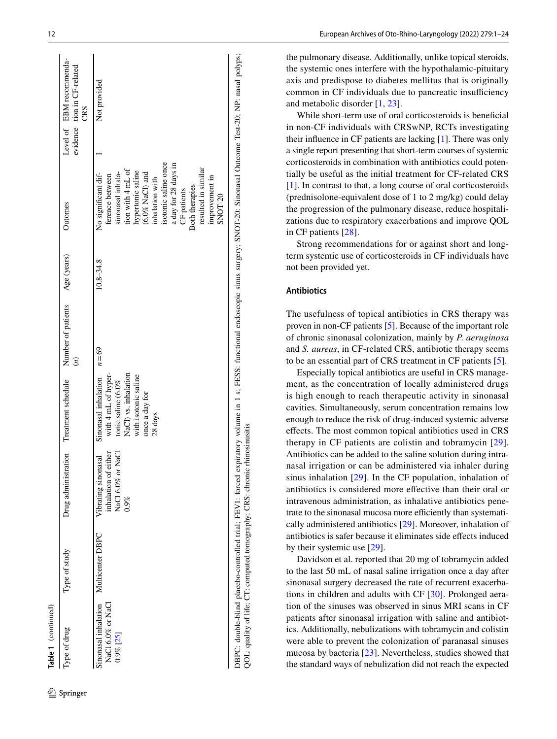| Table 1 (continued)                                                        |                                                           |                                                                               |                                                                                                                                                   |                                     |             |                                                                                                                                                                                                                                                                                                   |                                                                |
|----------------------------------------------------------------------------|-----------------------------------------------------------|-------------------------------------------------------------------------------|---------------------------------------------------------------------------------------------------------------------------------------------------|-------------------------------------|-------------|---------------------------------------------------------------------------------------------------------------------------------------------------------------------------------------------------------------------------------------------------------------------------------------------------|----------------------------------------------------------------|
| Type of drug                                                               | Type of study                                             | Drug administration                                                           | Treatment schedule                                                                                                                                | Number of patients<br>$\widehat{E}$ | Age (years) | Outomes                                                                                                                                                                                                                                                                                           | Level of EBM recommenda-<br>evidence tion in CF-related<br>CRS |
| Sinonasal inhalation Multicenter DBPC<br>NaCl 6.0% or NaCl<br>$0.9\%$ [25] |                                                           | NaCl 6.0% or NaCl<br>f either<br>Vibrating sinonasal<br>inhalation of<br>0.9% | Sinonasal inhalation<br>with 4 mL of hyper-<br>NaCl) vs. inhalation<br>with isotonic saline<br>tonic saline $(6.0\%$<br>once a day for<br>28 days | $n=69$                              | 10.8–34.8   | isotonic saline once<br>a day for 28 days in<br>resulted in similar<br>tion with 4 mL of<br>hypertonic saline<br>sinonasal inhala-<br>$(6.0\%$ NaCl) and<br>No significant dif-<br>ference between<br>improvement in<br>inhalation with<br><b>Both therapies</b><br>CF patients<br><b>SNOT-20</b> | Not provided                                                   |
|                                                                            | DBPC: double-blind placebo-controlled trial; FEV1: forced |                                                                               |                                                                                                                                                   |                                     |             | expiratory volume in 1 s; FESS: functional endoscopic sinus surgery; SNOT-20: Sinonasal Outcome Test-20; NP: nasal polyps;                                                                                                                                                                        |                                                                |

the pulmonary disease. Additionally, unlike topical steroids, the systemic ones interfere with the hypothalamic-pituitary axis and predispose to diabetes mellitus that is originally common in CF individuals due to pancreatic insufficiency and metabolic disorder [ [1](#page-21-0), [23\]](#page-21-22).

While short-term use of oral corticosteroids is beneficial in non-CF individuals with CRSwNP, RCTs investigating their infuence in CF patients are lacking [ [1](#page-21-0)]. There was only a single report presenting that short-term courses of systemic corticosteroids in combination with antibiotics could poten t[ia](#page-21-0)lly be useful as the initial treatment for CF-related CRS [[1\]](#page-21-0). In contrast to that, a long course of oral corticosteroids (prednisolone-equivalent dose of 1 to 2 mg/kg) could delay the progression of the pulmonary disease, reduce hospitali zations due to respiratory exacerbations and improve QOL in CF patients [[28\]](#page-21-27).

Strong recommendations for or against short and longterm systemic use of corticosteroids in CF individuals have not been provided yet.

#### **Antibiotics**

QOL: quality of life; CT: computed tomography; CRS: chronic rhinosinusitis

QOL: quality of life; CT: computed tomography; CRS: chronic rhinosinusitis

The usefulness of topical antibiotics in CRS therapy was proven in non-CF patients [ [5](#page-21-4)]. Because of the important role of chronic sinonasal colonization, mainly by *P. aeruginosa* and *S. aureus*, in CF-related CRS, antibiotic therapy seems to be an essential part of CRS treatment in CF patients [ [5](#page-21-4)].

Especially topical antibiotics are useful in CRS manage ment, as the concentration of locally administered drugs is high enough to reach therapeutic activity in sinonasal cavities. Simultaneously, serum concentration remains low enough to reduce the risk of drug-induced systemic adverse efects. The most common topical antibiotics used in CRS therapy in CF patients are colistin and tobramycin [[29](#page-22-14)]. Antibiotics can be added to the saline solution during intra nasal irrigation or can be administered via inhaler during sinus inhalation [[29\]](#page-22-14). In the CF population, inhalation of antibiotics is considered more efective than their oral or intravenous administration, as inhalative antibiotics pene trate to the sinonasal mucosa more efficiently than systematically administered antibiotics [[29\]](#page-22-14). Moreover, inhalation of antibiotics is safer because it eliminates side efects induced by their systemic use [\[29\]](#page-22-14).

Davidson et al. reported that 20 mg of tobramycin added to the last 50 mL of nasal saline irrigation once a day after sinonasal surgery decreased the rate of recurrent exacerba - tions in children and adults with CF [\[30\]](#page-22-11). Prolonged aeration of the sinuses was observed in sinus MRI scans in CF patients after sinonasal irrigation with saline and antibiot ics. Additionally, nebulizations with tobramycin and colistin were able to prevent the colonization of paranasal sinuses mucosa by bacteria [[23](#page-21-22)]. Nevertheless, studies showed that the standard ways of nebulization did not reach the expected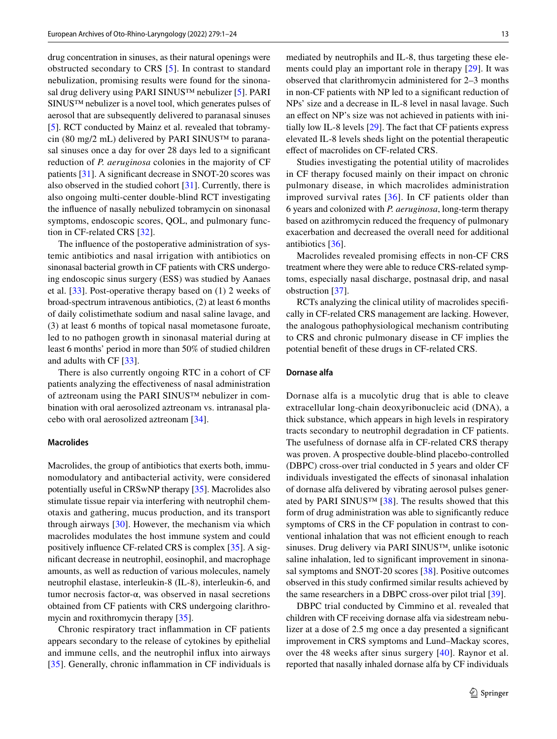drug concentration in sinuses, as their natural openings were obstructed secondary to CRS [\[5\]](#page-21-4). In contrast to standard nebulization, promising results were found for the sinona-sal drug delivery using PARI SINUS™ nebulizer [[5\]](#page-21-4). PARI SINUS™ nebulizer is a novel tool, which generates pulses of aerosol that are subsequently delivered to paranasal sinuses [\[5](#page-21-4)]. RCT conducted by Mainz et al. revealed that tobramycin (80 mg/2 mL) delivered by PARI SINUS<sup>™</sup> to paranasal sinuses once a day for over 28 days led to a signifcant reduction of *P. aeruginosa* colonies in the majority of CF patients [[31\]](#page-22-12). A signifcant decrease in SNOT-20 scores was also observed in the studied cohort  $[31]$  $[31]$ . Currently, there is also ongoing multi-center double-blind RCT investigating the infuence of nasally nebulized tobramycin on sinonasal symptoms, endoscopic scores, QOL, and pulmonary function in CF-related CRS [\[32](#page-22-15)].

The infuence of the postoperative administration of systemic antibiotics and nasal irrigation with antibiotics on sinonasal bacterial growth in CF patients with CRS undergoing endoscopic sinus surgery (ESS) was studied by Aanaes et al. [\[33\]](#page-22-13). Post-operative therapy based on (1) 2 weeks of broad-spectrum intravenous antibiotics, (2) at least 6 months of daily colistimethate sodium and nasal saline lavage, and (3) at least 6 months of topical nasal mometasone furoate, led to no pathogen growth in sinonasal material during at least 6 months' period in more than 50% of studied children and adults with CF [\[33](#page-22-13)].

There is also currently ongoing RTC in a cohort of CF patients analyzing the efectiveness of nasal administration of aztreonam using the PARI SINUS™ nebulizer in combination with oral aerosolized aztreonam vs. intranasal placebo with oral aerosolized aztreonam [[34\]](#page-22-16).

#### **Macrolides**

Macrolides, the group of antibiotics that exerts both, immunomodulatory and antibacterial activity, were considered potentially useful in CRSwNP therapy [\[35](#page-22-17)]. Macrolides also stimulate tissue repair via interfering with neutrophil chemotaxis and gathering, mucus production, and its transport through airways [\[30\]](#page-22-11). However, the mechanism via which macrolides modulates the host immune system and could positively infuence CF-related CRS is complex [\[35\]](#page-22-17). A signifcant decrease in neutrophil, eosinophil, and macrophage amounts, as well as reduction of various molecules, namely neutrophil elastase, interleukin-8 (IL-8), interleukin-6, and tumor necrosis factor-α, was observed in nasal secretions obtained from CF patients with CRS undergoing clarithro-mycin and roxithromycin therapy [\[35](#page-22-17)].

Chronic respiratory tract infammation in CF patients appears secondary to the release of cytokines by epithelial and immune cells, and the neutrophil infux into airways [\[35\]](#page-22-17). Generally, chronic infammation in CF individuals is mediated by neutrophils and IL-8, thus targeting these elements could play an important role in therapy [[29\]](#page-22-14). It was observed that clarithromycin administered for 2–3 months in non-CF patients with NP led to a signifcant reduction of NPs' size and a decrease in IL-8 level in nasal lavage. Such an effect on NP's size was not achieved in patients with initially low IL-8 levels [\[29](#page-22-14)]. The fact that CF patients express elevated IL-8 levels sheds light on the potential therapeutic efect of macrolides on CF-related CRS.

Studies investigating the potential utility of macrolides in CF therapy focused mainly on their impact on chronic pulmonary disease, in which macrolides administration improved survival rates [[36](#page-22-18)]. In CF patients older than 6 years and colonized with *P. aeruginosa*, long-term therapy based on azithromycin reduced the frequency of pulmonary exacerbation and decreased the overall need for additional antibiotics [\[36](#page-22-18)].

Macrolides revealed promising efects in non-CF CRS treatment where they were able to reduce CRS-related symptoms, especially nasal discharge, postnasal drip, and nasal obstruction [[37\]](#page-22-19).

RCTs analyzing the clinical utility of macrolides specifcally in CF-related CRS management are lacking. However, the analogous pathophysiological mechanism contributing to CRS and chronic pulmonary disease in CF implies the potential beneft of these drugs in CF-related CRS.

#### **Dornase alfa**

Dornase alfa is a mucolytic drug that is able to cleave extracellular long-chain deoxyribonucleic acid (DNA), a thick substance, which appears in high levels in respiratory tracts secondary to neutrophil degradation in CF patients. The usefulness of dornase alfa in CF-related CRS therapy was proven. A prospective double-blind placebo-controlled (DBPC) cross-over trial conducted in 5 years and older CF individuals investigated the efects of sinonasal inhalation of dornase alfa delivered by vibrating aerosol pulses gener-ated by PARI SINUS<sup>TM</sup> [[38](#page-22-0)]. The results showed that this form of drug administration was able to signifcantly reduce symptoms of CRS in the CF population in contrast to conventional inhalation that was not efficient enough to reach sinuses. Drug delivery via PARI SINUS™, unlike isotonic saline inhalation, led to signifcant improvement in sinonasal symptoms and SNOT-20 scores [[38\]](#page-22-0). Positive outcomes observed in this study confrmed similar results achieved by the same researchers in a DBPC cross-over pilot trial [\[39](#page-22-20)].

DBPC trial conducted by Cimmino et al. revealed that children with CF receiving dornase alfa via sidestream nebulizer at a dose of 2.5 mg once a day presented a significant improvement in CRS symptoms and Lund–Mackay scores, over the 48 weeks after sinus surgery [[40\]](#page-22-1). Raynor et al. reported that nasally inhaled dornase alfa by CF individuals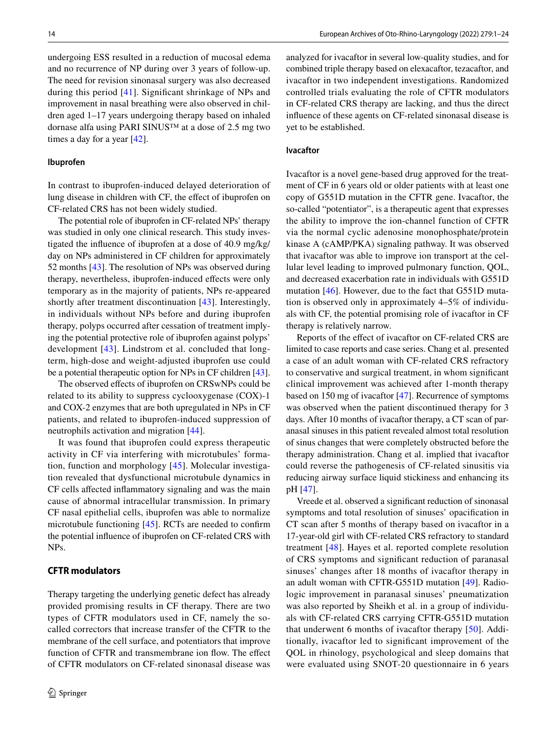undergoing ESS resulted in a reduction of mucosal edema and no recurrence of NP during over 3 years of follow-up. The need for revision sinonasal surgery was also decreased during this period [\[41\]](#page-22-2). Signifcant shrinkage of NPs and improvement in nasal breathing were also observed in children aged 1–17 years undergoing therapy based on inhaled dornase alfa using PARI SINUS™ at a dose of 2.5 mg two times a day for a year [[42\]](#page-22-3).

#### **Ibuprofen**

In contrast to ibuprofen-induced delayed deterioration of lung disease in children with CF, the efect of ibuprofen on CF-related CRS has not been widely studied.

The potential role of ibuprofen in CF-related NPs' therapy was studied in only one clinical research. This study investigated the infuence of ibuprofen at a dose of 40.9 mg/kg/ day on NPs administered in CF children for approximately 52 months [[43\]](#page-22-10). The resolution of NPs was observed during therapy, nevertheless, ibuprofen-induced effects were only temporary as in the majority of patients, NPs re-appeared shortly after treatment discontinuation [[43](#page-22-10)]. Interestingly, in individuals without NPs before and during ibuprofen therapy, polyps occurred after cessation of treatment implying the potential protective role of ibuprofen against polyps' development [[43\]](#page-22-10). Lindstrom et al. concluded that longterm, high-dose and weight-adjusted ibuprofen use could be a potential therapeutic option for NPs in CF children [\[43](#page-22-10)].

The observed efects of ibuprofen on CRSwNPs could be related to its ability to suppress cyclooxygenase (COX)-1 and COX-2 enzymes that are both upregulated in NPs in CF patients, and related to ibuprofen-induced suppression of neutrophils activation and migration [\[44](#page-22-21)].

It was found that ibuprofen could express therapeutic activity in CF via interfering with microtubules' formation, function and morphology [[45\]](#page-22-22). Molecular investigation revealed that dysfunctional microtubule dynamics in CF cells afected infammatory signaling and was the main cause of abnormal intracellular transmission. In primary CF nasal epithelial cells, ibuprofen was able to normalize microtubule functioning [[45\]](#page-22-22). RCTs are needed to confrm the potential infuence of ibuprofen on CF-related CRS with NPs.

#### **CFTR modulators**

Therapy targeting the underlying genetic defect has already provided promising results in CF therapy. There are two types of CFTR modulators used in CF, namely the socalled correctors that increase transfer of the CFTR to the membrane of the cell surface, and potentiators that improve function of CFTR and transmembrane ion flow. The effect of CFTR modulators on CF-related sinonasal disease was analyzed for ivacaftor in several low-quality studies, and for combined triple therapy based on elexacaftor, tezacaftor, and ivacaftor in two independent investigations. Randomized controlled trials evaluating the role of CFTR modulators in CF-related CRS therapy are lacking, and thus the direct infuence of these agents on CF-related sinonasal disease is yet to be established.

#### **Ivacaftor**

Ivacaftor is a novel gene-based drug approved for the treatment of CF in 6 years old or older patients with at least one copy of G551D mutation in the CFTR gene. Ivacaftor, the so-called "potentiator", is a therapeutic agent that expresses the ability to improve the ion-channel function of CFTR via the normal cyclic adenosine monophosphate/protein kinase A (cAMP/PKA) signaling pathway. It was observed that ivacaftor was able to improve ion transport at the cellular level leading to improved pulmonary function, QOL, and decreased exacerbation rate in individuals with G551D mutation [\[46\]](#page-22-8). However, due to the fact that G551D mutation is observed only in approximately 4–5% of individuals with CF, the potential promising role of ivacaftor in CF therapy is relatively narrow.

Reports of the efect of ivacaftor on CF-related CRS are limited to case reports and case series. Chang et al. presented a case of an adult woman with CF-related CRS refractory to conservative and surgical treatment, in whom signifcant clinical improvement was achieved after 1-month therapy based on 150 mg of ivacaftor [[47\]](#page-22-4). Recurrence of symptoms was observed when the patient discontinued therapy for 3 days. After 10 months of ivacaftor therapy, a CT scan of paranasal sinuses in this patient revealed almost total resolution of sinus changes that were completely obstructed before the therapy administration. Chang et al. implied that ivacaftor could reverse the pathogenesis of CF-related sinusitis via reducing airway surface liquid stickiness and enhancing its pH [\[47](#page-22-4)].

Vreede et al. observed a signifcant reduction of sinonasal symptoms and total resolution of sinuses' opacifcation in CT scan after 5 months of therapy based on ivacaftor in a 17-year-old girl with CF-related CRS refractory to standard treatment [[48](#page-22-5)]. Hayes et al. reported complete resolution of CRS symptoms and signifcant reduction of paranasal sinuses' changes after 18 months of ivacaftor therapy in an adult woman with CFTR-G551D mutation [[49](#page-22-6)]. Radiologic improvement in paranasal sinuses' pneumatization was also reported by Sheikh et al. in a group of individuals with CF-related CRS carrying CFTR-G551D mutation that underwent 6 months of ivacaftor therapy [\[50](#page-22-7)]. Additionally, ivacaftor led to signifcant improvement of the QOL in rhinology, psychological and sleep domains that were evaluated using SNOT-20 questionnaire in 6 years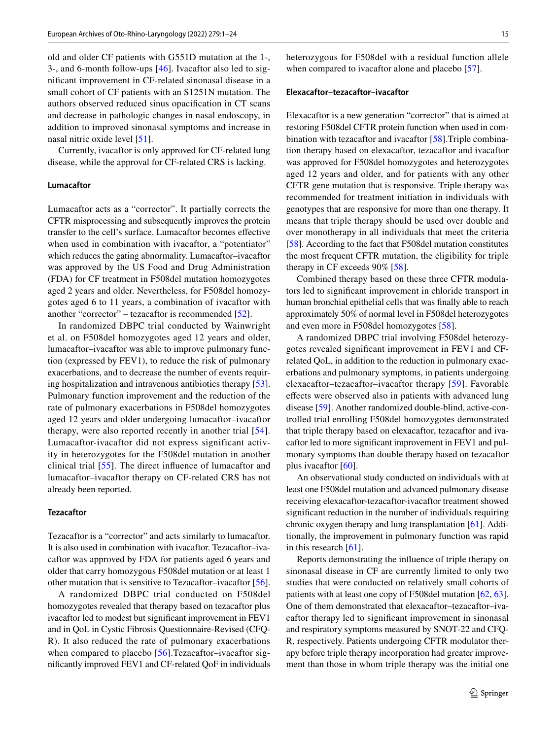old and older CF patients with G551D mutation at the 1-, 3-, and 6-month follow-ups [[46\]](#page-22-8). Ivacaftor also led to signifcant improvement in CF-related sinonasal disease in a small cohort of CF patients with an S1251N mutation. The authors observed reduced sinus opacifcation in CT scans and decrease in pathologic changes in nasal endoscopy, in addition to improved sinonasal symptoms and increase in nasal nitric oxide level [[51](#page-22-9)].

Currently, ivacaftor is only approved for CF-related lung disease, while the approval for CF-related CRS is lacking.

#### **Lumacaftor**

Lumacaftor acts as a "corrector". It partially corrects the CFTR misprocessing and subsequently improves the protein transfer to the cell's surface. Lumacaftor becomes efective when used in combination with ivacaftor, a "potentiator" which reduces the gating abnormality. Lumacaftor–ivacaftor was approved by the US Food and Drug Administration (FDA) for CF treatment in F508del mutation homozygotes aged 2 years and older. Nevertheless, for F508del homozygotes aged 6 to 11 years, a combination of ivacaftor with another "corrector" – tezacaftor is recommended [[52](#page-22-23)].

In randomized DBPC trial conducted by Wainwright et al. on F508del homozygotes aged 12 years and older, lumacaftor–ivacaftor was able to improve pulmonary function (expressed by FEV1), to reduce the risk of pulmonary exacerbations, and to decrease the number of events requiring hospitalization and intravenous antibiotics therapy [\[53](#page-22-24)]. Pulmonary function improvement and the reduction of the rate of pulmonary exacerbations in F508del homozygotes aged 12 years and older undergoing lumacaftor–ivacaftor therapy, were also reported recently in another trial [[54](#page-22-25)]. Lumacaftor-ivacaftor did not express significant activity in heterozygotes for the F508del mutation in another clinical trial [\[55\]](#page-22-26). The direct infuence of lumacaftor and lumacaftor–ivacaftor therapy on CF-related CRS has not already been reported.

#### **Tezacaftor**

Tezacaftor is a "corrector" and acts similarly to lumacaftor. It is also used in combination with ivacaftor. Tezacaftor–ivacaftor was approved by FDA for patients aged 6 years and older that carry homozygous F508del mutation or at least 1 other mutation that is sensitive to Tezacaftor–ivacaftor [\[56](#page-22-27)].

A randomized DBPC trial conducted on F508del homozygotes revealed that therapy based on tezacaftor plus ivacaftor led to modest but signifcant improvement in FEV1 and in QoL in Cystic Fibrosis Questionnaire-Revised (CFQ-R). It also reduced the rate of pulmonary exacerbations when compared to placebo [[56](#page-22-27)]. Tezacaftor–ivacaftor signifcantly improved FEV1 and CF-related QoF in individuals heterozygous for F508del with a residual function allele when compared to ivacaftor alone and placebo [[57\]](#page-22-28).

#### **Elexacaftor–tezacaftor–ivacaftor**

Elexacaftor is a new generation "corrector" that is aimed at restoring F508del CFTR protein function when used in combination with tezacaftor and ivacaftor [\[58](#page-22-29)].Triple combination therapy based on elexacaftor, tezacaftor and ivacaftor was approved for F508del homozygotes and heterozygotes aged 12 years and older, and for patients with any other CFTR gene mutation that is responsive. Triple therapy was recommended for treatment initiation in individuals with genotypes that are responsive for more than one therapy. It means that triple therapy should be used over double and over monotherapy in all individuals that meet the criteria [\[58](#page-22-29)]. According to the fact that F508del mutation constitutes the most frequent CFTR mutation, the eligibility for triple therapy in CF exceeds 90% [\[58](#page-22-29)].

Combined therapy based on these three CFTR modulators led to signifcant improvement in chloride transport in human bronchial epithelial cells that was fnally able to reach approximately 50% of normal level in F508del heterozygotes and even more in F508del homozygotes [[58\]](#page-22-29).

A randomized DBPC trial involving F508del heterozygotes revealed signifcant improvement in FEV1 and CFrelated QoL, in addition to the reduction in pulmonary exacerbations and pulmonary symptoms, in patients undergoing elexacaftor–tezacaftor–ivacaftor therapy [\[59\]](#page-23-2). Favorable efects were observed also in patients with advanced lung disease [[59\]](#page-23-2). Another randomized double-blind, active-controlled trial enrolling F508del homozygotes demonstrated that triple therapy based on elexacaftor, tezacaftor and ivacaftor led to more signifcant improvement in FEV1 and pulmonary symptoms than double therapy based on tezacaftor plus ivacaftor  $[60]$  $[60]$ .

An observational study conducted on individuals with at least one F508del mutation and advanced pulmonary disease receiving elexacaftor-tezacaftor-ivacaftor treatment showed signifcant reduction in the number of individuals requiring chronic oxygen therapy and lung transplantation [\[61](#page-23-4)]. Additionally, the improvement in pulmonary function was rapid in this research [[61](#page-23-4)].

Reports demonstrating the infuence of triple therapy on sinonasal disease in CF are currently limited to only two studies that were conducted on relatively small cohorts of patients with at least one copy of F508del mutation [[62,](#page-23-0) [63](#page-23-1)]. One of them demonstrated that elexacaftor–tezacaftor–ivacaftor therapy led to signifcant improvement in sinonasal and respiratory symptoms measured by SNOT-22 and CFQ-R, respectively. Patients undergoing CFTR modulator therapy before triple therapy incorporation had greater improvement than those in whom triple therapy was the initial one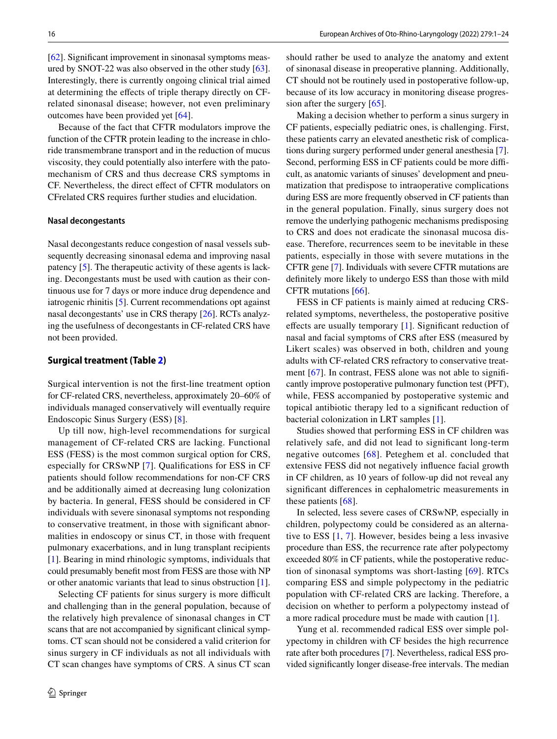[\[62](#page-23-0)]. Signifcant improvement in sinonasal symptoms measured by SNOT-22 was also observed in the other study [\[63](#page-23-1)]. Interestingly, there is currently ongoing clinical trial aimed at determining the efects of triple therapy directly on CFrelated sinonasal disease; however, not even preliminary outcomes have been provided yet [[64\]](#page-23-5).

Because of the fact that CFTR modulators improve the function of the CFTR protein leading to the increase in chloride transmembrane transport and in the reduction of mucus viscosity, they could potentially also interfere with the patomechanism of CRS and thus decrease CRS symptoms in CF. Nevertheless, the direct efect of CFTR modulators on CFrelated CRS requires further studies and elucidation.

#### **Nasal decongestants**

Nasal decongestants reduce congestion of nasal vessels subsequently decreasing sinonasal edema and improving nasal patency [\[5](#page-21-4)]. The therapeutic activity of these agents is lacking. Decongestants must be used with caution as their continuous use for 7 days or more induce drug dependence and iatrogenic rhinitis [[5\]](#page-21-4). Current recommendations opt against nasal decongestants' use in CRS therapy [[26\]](#page-21-25). RCTs analyzing the usefulness of decongestants in CF-related CRS have not been provided.

#### **Surgical treatment (Table [2\)](#page-16-0)**

Surgical intervention is not the frst-line treatment option for CF-related CRS, nevertheless, approximately 20–60% of individuals managed conservatively will eventually require Endoscopic Sinus Surgery (ESS) [[8\]](#page-21-7).

Up till now, high-level recommendations for surgical management of CF-related CRS are lacking. Functional ESS (FESS) is the most common surgical option for CRS, especially for CRSwNP [[7\]](#page-21-6). Qualifcations for ESS in CF patients should follow recommendations for non-CF CRS and be additionally aimed at decreasing lung colonization by bacteria. In general, FESS should be considered in CF individuals with severe sinonasal symptoms not responding to conservative treatment, in those with signifcant abnormalities in endoscopy or sinus CT, in those with frequent pulmonary exacerbations, and in lung transplant recipients [\[1](#page-21-0)]. Bearing in mind rhinologic symptoms, individuals that could presumably beneft most from FESS are those with NP or other anatomic variants that lead to sinus obstruction [\[1](#page-21-0)].

Selecting CF patients for sinus surgery is more difficult and challenging than in the general population, because of the relatively high prevalence of sinonasal changes in CT scans that are not accompanied by signifcant clinical symptoms. CT scan should not be considered a valid criterion for sinus surgery in CF individuals as not all individuals with CT scan changes have symptoms of CRS. A sinus CT scan should rather be used to analyze the anatomy and extent of sinonasal disease in preoperative planning. Additionally, CT should not be routinely used in postoperative follow-up, because of its low accuracy in monitoring disease progression after the surgery [\[65\]](#page-23-6).

Making a decision whether to perform a sinus surgery in CF patients, especially pediatric ones, is challenging. First, these patients carry an elevated anesthetic risk of complications during surgery performed under general anesthesia [[7](#page-21-6)]. Second, performing ESS in CF patients could be more difficult, as anatomic variants of sinuses' development and pneumatization that predispose to intraoperative complications during ESS are more frequently observed in CF patients than in the general population. Finally, sinus surgery does not remove the underlying pathogenic mechanisms predisposing to CRS and does not eradicate the sinonasal mucosa disease. Therefore, recurrences seem to be inevitable in these patients, especially in those with severe mutations in the CFTR gene [\[7](#page-21-6)]. Individuals with severe CFTR mutations are defnitely more likely to undergo ESS than those with mild CFTR mutations [[66\]](#page-23-7).

FESS in CF patients is mainly aimed at reducing CRSrelated symptoms, nevertheless, the postoperative positive effects are usually temporary [\[1\]](#page-21-0). Significant reduction of nasal and facial symptoms of CRS after ESS (measured by Likert scales) was observed in both, children and young adults with CF-related CRS refractory to conservative treat-ment [[67\]](#page-23-8). In contrast, FESS alone was not able to significantly improve postoperative pulmonary function test (PFT), while, FESS accompanied by postoperative systemic and topical antibiotic therapy led to a signifcant reduction of bacterial colonization in LRT samples [[1](#page-21-0)].

Studies showed that performing ESS in CF children was relatively safe, and did not lead to signifcant long-term negative outcomes [[68\]](#page-23-9). Peteghem et al. concluded that extensive FESS did not negatively infuence facial growth in CF children, as 10 years of follow-up did not reveal any signifcant diferences in cephalometric measurements in these patients [[68\]](#page-23-9).

In selected, less severe cases of CRSwNP, especially in children, polypectomy could be considered as an alternative to ESS [\[1](#page-21-0), [7\]](#page-21-6). However, besides being a less invasive procedure than ESS, the recurrence rate after polypectomy exceeded 80% in CF patients, while the postoperative reduction of sinonasal symptoms was short-lasting [\[69\]](#page-23-10). RTCs comparing ESS and simple polypectomy in the pediatric population with CF-related CRS are lacking. Therefore, a decision on whether to perform a polypectomy instead of a more radical procedure must be made with caution [\[1](#page-21-0)].

Yung et al. recommended radical ESS over simple polypectomy in children with CF besides the high recurrence rate after both procedures [[7\]](#page-21-6). Nevertheless, radical ESS provided signifcantly longer disease-free intervals. The median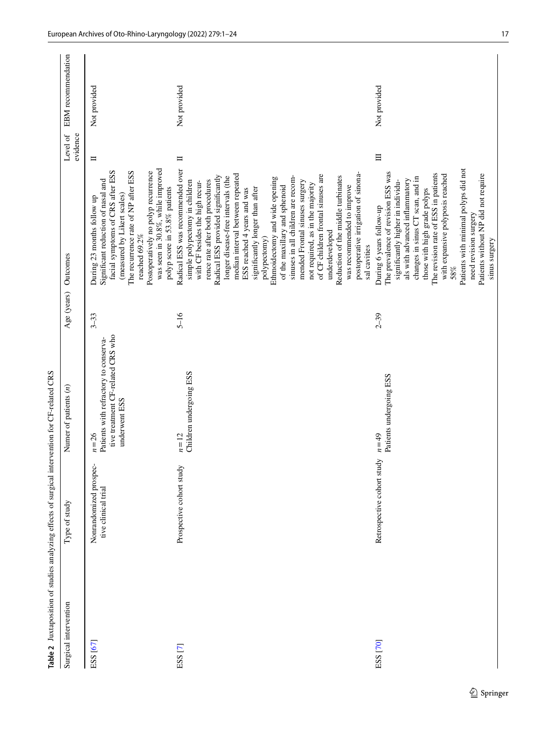<span id="page-16-0"></span>

| Surgical intervention | Type of study                                 | Numer of patients $(n)$                                                                                 | Age (years) Outcomes |                                                                                                                                                                                                                                                                                                                                                                                                                                                                                                                                                                                                                                                                                                               | Level of<br>evidence | EBM recommendation |
|-----------------------|-----------------------------------------------|---------------------------------------------------------------------------------------------------------|----------------------|---------------------------------------------------------------------------------------------------------------------------------------------------------------------------------------------------------------------------------------------------------------------------------------------------------------------------------------------------------------------------------------------------------------------------------------------------------------------------------------------------------------------------------------------------------------------------------------------------------------------------------------------------------------------------------------------------------------|----------------------|--------------------|
| ESS [67]              | Nonrandomized prospec-<br>tive clinical trial | tive treatment CF-related CRS who<br>Patients with refractory to conserva-<br>underwent ESS<br>$n = 26$ | $3 - 33$             | was seen in 30.8%, while improved<br>facial symptoms of CRS after ESS<br>The recurrence rate of NP after ESS<br>Postoperatively no polyp recurrence<br>Significant reduction of nasal and<br>polyp score in 53.8% patients<br>(measured by Likert scales)<br>During 23 months follow up<br>reached 69.2%                                                                                                                                                                                                                                                                                                                                                                                                      | $\Box$               | Not provided       |
| ESS <sub>[7]</sub>    | Prospective cohort study                      | Children undergoing ESS<br>$n=12$                                                                       | $5 - 16$             | Radical ESS was recommended over<br>postoperative irrigation of sinona-<br>median interval between repeated<br>of CF children frontal sinuses are<br>Radical ESS provided significantly<br>sinuses in all children are recom-<br>Reduction of the middle turbinates<br>longer disease-free intervals (the<br>Ethmoidectomy and wide opening<br>rence rate after both procedures<br>with CF besides the high recur-<br>mended Frontal sinuses surgery<br>simple polypectomy in children<br>not required, as in the majority<br>of the maxillary and sphenoid<br>was recommended to improve<br>significantly longer than after<br>ESS reached 4 years and was<br>underdeveloped<br>polypectomy)<br>sal cavities | $\blacksquare$       | Not provided       |
| ESS <sub>[70]</sub>   | Retrospective cohort study                    | Patients undergoing ESS<br>$n = 49$                                                                     | $2 - 39$             | Patients with minimal polyps did not<br>The prevalence of revision ESS was<br>The revision rate of ESS in patients<br>with expansive polyposis reached<br>Patients without NP did not require<br>changes in sinus CT scan, and in<br>als with advanced inflammatory<br>significantly higher in individu-<br>those with high grade polyps<br>During 6 years follow-up<br>need revision surgery<br>sinus surgery<br>58%                                                                                                                                                                                                                                                                                         | $\equiv$             | Not provided       |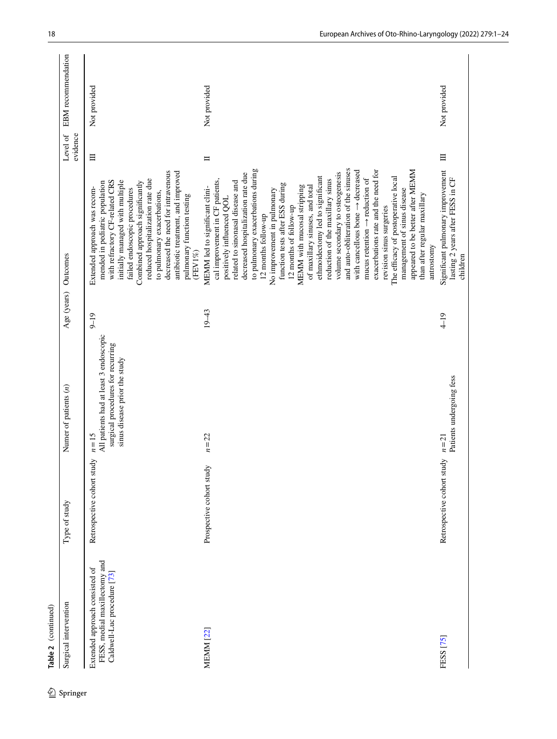| Surgical intervention                                                                          | Type of study              | Numer of patients $(n)$                                                                                                | Age (years) | Outcomes                                                                                                                                                                                                                                                                                                                                                                                                                                                                                                                                                                                                                                                                                                                                                                                                                                                                        | Level of<br>evidence | EBM recommendation |
|------------------------------------------------------------------------------------------------|----------------------------|------------------------------------------------------------------------------------------------------------------------|-------------|---------------------------------------------------------------------------------------------------------------------------------------------------------------------------------------------------------------------------------------------------------------------------------------------------------------------------------------------------------------------------------------------------------------------------------------------------------------------------------------------------------------------------------------------------------------------------------------------------------------------------------------------------------------------------------------------------------------------------------------------------------------------------------------------------------------------------------------------------------------------------------|----------------------|--------------------|
| FESS, medial maxillectomy and<br>Extended approach consisted of<br>Caldwell-Luc procedure [73] | Retrospective cohort study | All patients had at least 3 endoscopic<br>surgical procedures for recurring<br>sinus disease prior the study<br>$n=15$ | $9 - 19$    | decreased the need for intravenous<br>antibiotic treatment, and improved<br>reduced hospitalization rate due<br>with refractory CF-related CRS<br>initially managed with multiple<br>Combined approach significantly<br>mended in pediatric population<br>failed endoscopic procedures<br>Extended approach was recom-<br>to pulmonary exacerbations,<br>pulmonary function testing<br>(FEV1%)                                                                                                                                                                                                                                                                                                                                                                                                                                                                                  | $\equiv$             | Not provided       |
| <b>MEMM [22]</b>                                                                               | Prospective cohort study   | $n = 22$                                                                                                               | $19 - 43$   | and auto-obliteration of the sinuses<br>to pulmonary exacerbations during<br>with cancellous bone $\rightarrow$ decreased<br>exacerbations rate and the need for<br>appeared to be better after MEMM<br>volume secondary to osteogenesis<br>decreased hospitalization rate due<br>ethmoidectomy led to significant<br>The efficacy of postoperative local<br>mucus retention $\rightarrow$ reduction of<br>reduction of the maxillary sinus<br>cal improvement in CF patients,<br>related to sinonasal disease and<br>function tests after ESS during<br>MEMM with mucosal stripping<br>of maxillary sinuses, and total<br>MEMM led to significant clini-<br>No improvement in pulmonary<br>management of sinus disease<br>than after regular maxillary<br>positively influenced QOL<br>12 months of follow-up<br>revision sinus surgeries<br>12 months follow-up<br>antrostomy | $\Box$               | Not provided       |
| FESS [75]                                                                                      | Retrospective cohort study | Patients undergoing fess<br>$n=21$                                                                                     | $4 - 19$    | Significant pulmonary improvement<br>lasting 2 years after FESS in CF<br>children                                                                                                                                                                                                                                                                                                                                                                                                                                                                                                                                                                                                                                                                                                                                                                                               | $\Xi$                | Not provided       |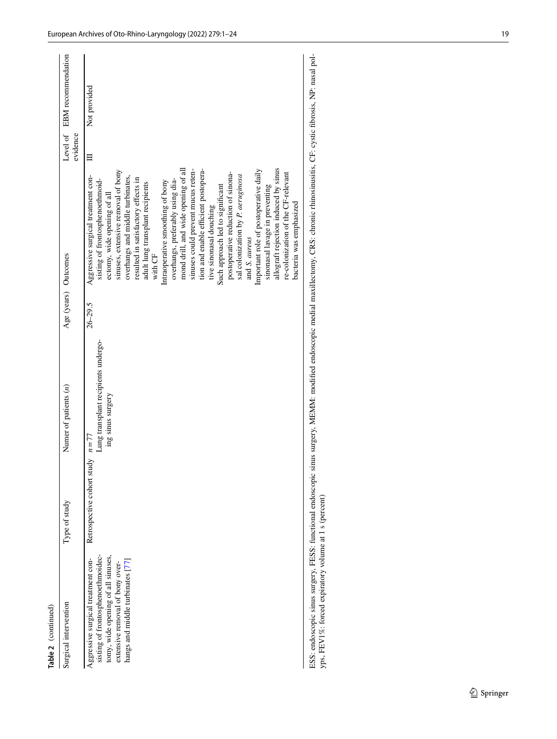| Table 2 (continued)                                                                                                                                                                  |                                   |                                                          |                      |                                                                                                                                                                                                                                                                                                                                                                                                                                                                                                                                                                                                                                                                                                                                                                                                                  |          |                             |
|--------------------------------------------------------------------------------------------------------------------------------------------------------------------------------------|-----------------------------------|----------------------------------------------------------|----------------------|------------------------------------------------------------------------------------------------------------------------------------------------------------------------------------------------------------------------------------------------------------------------------------------------------------------------------------------------------------------------------------------------------------------------------------------------------------------------------------------------------------------------------------------------------------------------------------------------------------------------------------------------------------------------------------------------------------------------------------------------------------------------------------------------------------------|----------|-----------------------------|
| Surgical intervention                                                                                                                                                                | Type of study                     | Numer of patients $(n)$                                  | Age (years) Outcomes |                                                                                                                                                                                                                                                                                                                                                                                                                                                                                                                                                                                                                                                                                                                                                                                                                  | evidence | Level of EBM recommendation |
| sisting of frontosphenoethmoidec-<br>tomy, wide opening of all sinuses,<br>Aggressive surgical treatment con-<br>extensive removal of bony over-<br>hangs and middle turbinates [77] | Retrospective cohort study $n=77$ | Lung transplant recipients undergo-<br>ing sinus surgery | $26 - 29.5$          | allograft rejection induced by sinus<br>mond drill, and wide opening of all<br>sinuses could prevent mucus reten-<br>tion and enable efficient postopera-<br>Important role of postoperative daily<br>sinuses, extensive removal of bony<br>postoperative reduction of sinona-<br>re-colonization of the CF-relevant<br>sal colonization by P. aeruginosa<br>Aggressive surgical treatment con-<br>overhangs and middle turbinates,<br>resulted in satisfactory effects in<br>sisting of frontosphenoethmoid-<br>overhangs, preferably using dia-<br>Intraoperative smoothing of bony<br>adult lung transplant recipients<br>Such approach led to significant<br>sinonasal lavage in preventing<br>ectomy, wide opening of all<br>bacteria was emphasized<br>tive sinonasal douching<br>and S. aureus<br>with CF | Ξ        | Not provided                |
|                                                                                                                                                                                      |                                   |                                                          |                      |                                                                                                                                                                                                                                                                                                                                                                                                                                                                                                                                                                                                                                                                                                                                                                                                                  |          |                             |

ESS: endoscopic sinus surgery, FESS: functional endoscopic sinus surgery, MEMM: modified endoscopic medial maxillectomy, CRS: chronic rhinosinusitis, CF: cystic fibrosis, NP: nasal pol-<br>yps, FEV1%: forced expiratory volume ESS: endoscopic sinus surgery, FESS: functional endoscopic sinus surgery, MEMM: modifed endoscopic medial maxillectomy, CRS: chronic rhinosinusitis, CF: cystic fbrosis, NP: nasal polyps, FEV1%: forced expiratory volume at 1 s (percent)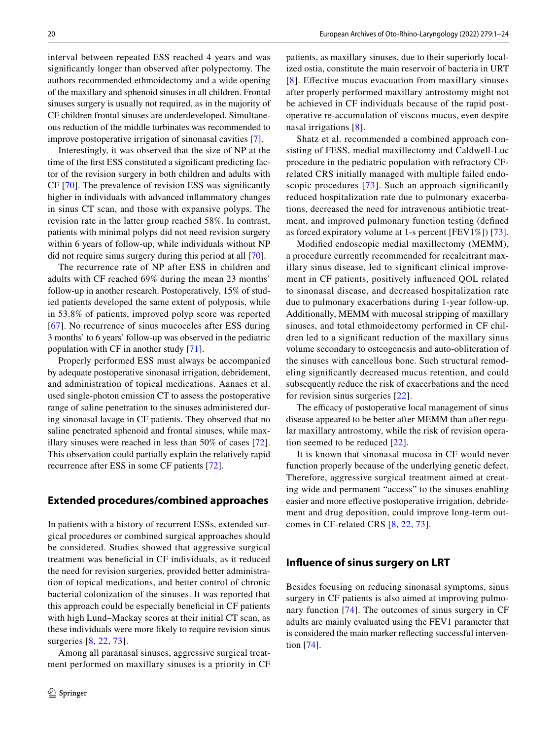interval between repeated ESS reached 4 years and was signifcantly longer than observed after polypectomy. The authors recommended ethmoidectomy and a wide opening of the maxillary and sphenoid sinuses in all children. Frontal sinuses surgery is usually not required, as in the majority of CF children frontal sinuses are underdeveloped. Simultaneous reduction of the middle turbinates was recommended to improve postoperative irrigation of sinonasal cavities [[7](#page-21-6)].

Interestingly, it was observed that the size of NP at the time of the frst ESS constituted a signifcant predicting factor of the revision surgery in both children and adults with CF [[70\]](#page-23-11). The prevalence of revision ESS was signifcantly higher in individuals with advanced infammatory changes in sinus CT scan, and those with expansive polyps. The revision rate in the latter group reached 58%. In contrast, patients with minimal polyps did not need revision surgery within 6 years of follow-up, while individuals without NP did not require sinus surgery during this period at all [[70\]](#page-23-11).

The recurrence rate of NP after ESS in children and adults with CF reached 69% during the mean 23 months' follow-up in another research. Postoperatively, 15% of studied patients developed the same extent of polyposis, while in 53.8% of patients, improved polyp score was reported [[67\]](#page-23-8). No recurrence of sinus mucoceles after ESS during 3 months' to 6 years' follow-up was observed in the pediatric population with CF in another study [[71\]](#page-23-15).

Properly performed ESS must always be accompanied by adequate postoperative sinonasal irrigation, debridement, and administration of topical medications. Aanaes et al. used single-photon emission CT to assess the postoperative range of saline penetration to the sinuses administered during sinonasal lavage in CF patients. They observed that no saline penetrated sphenoid and frontal sinuses, while maxillary sinuses were reached in less than 50% of cases [[72](#page-23-16)]. This observation could partially explain the relatively rapid recurrence after ESS in some CF patients [\[72](#page-23-16)].

### **Extended procedures/combined approaches**

In patients with a history of recurrent ESSs, extended surgical procedures or combined surgical approaches should be considered. Studies showed that aggressive surgical treatment was benefcial in CF individuals, as it reduced the need for revision surgeries, provided better administration of topical medications, and better control of chronic bacterial colonization of the sinuses. It was reported that this approach could be especially benefcial in CF patients with high Lund–Mackay scores at their initial CT scan, as these individuals were more likely to require revision sinus surgeries [[8,](#page-21-7) [22,](#page-21-21) [73](#page-23-12)].

Among all paranasal sinuses, aggressive surgical treatment performed on maxillary sinuses is a priority in CF patients, as maxillary sinuses, due to their superiorly localized ostia, constitute the main reservoir of bacteria in URT [[8](#page-21-7)]. Efective mucus evacuation from maxillary sinuses after properly performed maxillary antrostomy might not be achieved in CF individuals because of the rapid postoperative re-accumulation of viscous mucus, even despite nasal irrigations [[8](#page-21-7)].

Shatz et al. recommended a combined approach consisting of FESS, medial maxillectomy and Caldwell-Luc procedure in the pediatric population with refractory CFrelated CRS initially managed with multiple failed endo-scopic procedures [[73\]](#page-23-12). Such an approach significantly reduced hospitalization rate due to pulmonary exacerbations, decreased the need for intravenous antibiotic treatment, and improved pulmonary function testing (defned as forced expiratory volume at 1-s percent [FEV1%]) [[73](#page-23-12)].

Modifed endoscopic medial maxillectomy (MEMM), a procedure currently recommended for recalcitrant maxillary sinus disease, led to signifcant clinical improvement in CF patients, positively infuenced QOL related to sinonasal disease, and decreased hospitalization rate due to pulmonary exacerbations during 1-year follow-up. Additionally, MEMM with mucosal stripping of maxillary sinuses, and total ethmoidectomy performed in CF children led to a signifcant reduction of the maxillary sinus volume secondary to osteogenesis and auto-obliteration of the sinuses with cancellous bone. Such structural remodeling signifcantly decreased mucus retention, and could subsequently reduce the risk of exacerbations and the need for revision sinus surgeries [[22\]](#page-21-21).

The efficacy of postoperative local management of sinus disease appeared to be better after MEMM than after regular maxillary antrostomy, while the risk of revision operation seemed to be reduced [[22](#page-21-21)].

It is known that sinonasal mucosa in CF would never function properly because of the underlying genetic defect. Therefore, aggressive surgical treatment aimed at creating wide and permanent "access" to the sinuses enabling easier and more efective postoperative irrigation, debridement and drug deposition, could improve long-term outcomes in CF-related CRS [[8,](#page-21-7) [22,](#page-21-21) [73](#page-23-12)].

### **Infuence of sinus surgery on LRT**

Besides focusing on reducing sinonasal symptoms, sinus surgery in CF patients is also aimed at improving pulmonary function [[74](#page-23-17)]. The outcomes of sinus surgery in CF adults are mainly evaluated using the FEV1 parameter that is considered the main marker refecting successful intervention [[74\]](#page-23-17).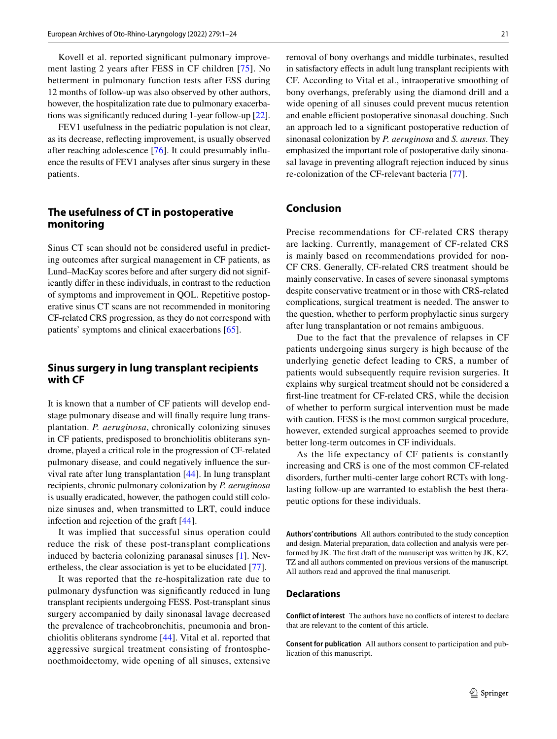Kovell et al. reported signifcant pulmonary improvement lasting 2 years after FESS in CF children [[75](#page-23-13)]. No betterment in pulmonary function tests after ESS during 12 months of follow-up was also observed by other authors, however, the hospitalization rate due to pulmonary exacerbations was signifcantly reduced during 1-year follow-up [\[22](#page-21-21)].

FEV1 usefulness in the pediatric population is not clear, as its decrease, refecting improvement, is usually observed after reaching adolescence [[76\]](#page-23-18). It could presumably infuence the results of FEV1 analyses after sinus surgery in these patients.

# **The usefulness of CT in postoperative monitoring**

Sinus CT scan should not be considered useful in predicting outcomes after surgical management in CF patients, as Lund–MacKay scores before and after surgery did not significantly difer in these individuals, in contrast to the reduction of symptoms and improvement in QOL. Repetitive postoperative sinus CT scans are not recommended in monitoring CF-related CRS progression, as they do not correspond with patients' symptoms and clinical exacerbations [\[65](#page-23-6)].

# **Sinus surgery in lung transplant recipients with CF**

It is known that a number of CF patients will develop endstage pulmonary disease and will fnally require lung transplantation. *P. aeruginosa*, chronically colonizing sinuses in CF patients, predisposed to bronchiolitis obliterans syndrome, played a critical role in the progression of CF-related pulmonary disease, and could negatively infuence the survival rate after lung transplantation [\[44](#page-22-21)]. In lung transplant recipients, chronic pulmonary colonization by *P. aeruginosa* is usually eradicated, however, the pathogen could still colonize sinuses and, when transmitted to LRT, could induce infection and rejection of the graft [[44\]](#page-22-21).

It was implied that successful sinus operation could reduce the risk of these post-transplant complications induced by bacteria colonizing paranasal sinuses [[1\]](#page-21-0). Nevertheless, the clear association is yet to be elucidated [\[77\]](#page-23-14).

It was reported that the re-hospitalization rate due to pulmonary dysfunction was signifcantly reduced in lung transplant recipients undergoing FESS. Post-transplant sinus surgery accompanied by daily sinonasal lavage decreased the prevalence of tracheobronchitis, pneumonia and bronchiolitis obliterans syndrome [\[44](#page-22-21)]. Vital et al. reported that aggressive surgical treatment consisting of frontosphenoethmoidectomy, wide opening of all sinuses, extensive removal of bony overhangs and middle turbinates, resulted in satisfactory efects in adult lung transplant recipients with CF. According to Vital et al., intraoperative smoothing of bony overhangs, preferably using the diamond drill and a wide opening of all sinuses could prevent mucus retention and enable efficient postoperative sinonasal douching. Such an approach led to a signifcant postoperative reduction of sinonasal colonization by *P. aeruginosa* and *S. aureus*. They emphasized the important role of postoperative daily sinonasal lavage in preventing allograft rejection induced by sinus re-colonization of the CF-relevant bacteria [[77](#page-23-14)].

# **Conclusion**

Precise recommendations for CF-related CRS therapy are lacking. Currently, management of CF-related CRS is mainly based on recommendations provided for non-CF CRS. Generally, CF-related CRS treatment should be mainly conservative. In cases of severe sinonasal symptoms despite conservative treatment or in those with CRS-related complications, surgical treatment is needed. The answer to the question, whether to perform prophylactic sinus surgery after lung transplantation or not remains ambiguous.

Due to the fact that the prevalence of relapses in CF patients undergoing sinus surgery is high because of the underlying genetic defect leading to CRS, a number of patients would subsequently require revision surgeries. It explains why surgical treatment should not be considered a frst-line treatment for CF-related CRS, while the decision of whether to perform surgical intervention must be made with caution. FESS is the most common surgical procedure, however, extended surgical approaches seemed to provide better long-term outcomes in CF individuals.

As the life expectancy of CF patients is constantly increasing and CRS is one of the most common CF-related disorders, further multi-center large cohort RCTs with longlasting follow-up are warranted to establish the best therapeutic options for these individuals.

**Authors' contributions** All authors contributed to the study conception and design. Material preparation, data collection and analysis were performed by JK. The frst draft of the manuscript was written by JK, KZ, TZ and all authors commented on previous versions of the manuscript. All authors read and approved the fnal manuscript.

#### **Declarations**

**Conflict of interest** The authors have no conficts of interest to declare that are relevant to the content of this article.

**Consent for publication** All authors consent to participation and publication of this manuscript.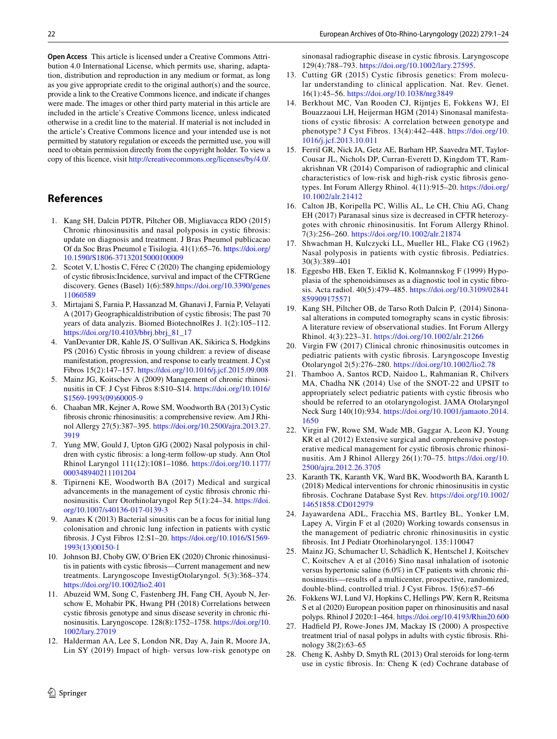# **References**

<span id="page-21-0"></span>1. Kang SH, Dalcin PDTR, Piltcher OB, Migliavacca RDO (2015) Chronic rhinosinusitis and nasal polyposis in cystic fbrosis: update on diagnosis and treatment. J Bras Pneumol publicacao Of da Soc Bras Pneumol e Tisilogia. 41(1):65–76. [https://doi.org/](https://doi.org/10.1590/S1806-37132015000100009) [10.1590/S1806-37132015000100009](https://doi.org/10.1590/S1806-37132015000100009)

copy of this licence, visit <http://creativecommons.org/licenses/by/4.0/>.

- <span id="page-21-1"></span>2. Scotet V, L'hostis C, Férec C (2020) The changing epidemiology of cystic fbrosis:Incidence, survival and impact of the CFTRGene discovery. Genes (Basel) 1(6):589[.https://doi.org/10.3390/genes](https://doi.org/10.3390/genes11060589) [11060589](https://doi.org/10.3390/genes11060589)
- <span id="page-21-2"></span>3. Mirtajani S, Farnia P, Hassanzad M, Ghanavi J, Farnia P, Velayati A (2017) Geographicaldistribution of cystic fbrosis; The past 70 years of data analyzis. Biomed BiotechnolRes J. 1(2):105–112. [https://doi.org/10.4103/bbrj.bbrj\\_81\\_17](https://doi.org/10.4103/bbrj.bbrj_81_17)
- <span id="page-21-3"></span>4. VanDevanter DR, Kahle JS, O'Sullivan AK, Sikirica S, Hodgkins PS (2016) Cystic fbrosis in young children: a review of disease manifestation, progression, and response to early treatment. J Cyst Fibros 15(2):147–157.<https://doi.org/10.1016/j.jcf.2015.09.008>
- <span id="page-21-4"></span>5. Mainz JG, Koitschev A (2009) Management of chronic rhinosinusitis in CF. J Cyst Fibros 8:S10–S14. [https://doi.org/10.1016/](https://doi.org/10.1016/S1569-1993(09)60005-9) [S1569-1993\(09\)60005-9](https://doi.org/10.1016/S1569-1993(09)60005-9)
- <span id="page-21-5"></span>6. Chaaban MR, Kejner A, Rowe SM, Woodworth BA (2013) Cystic fbrosis chronic rhinosinusitis: a comprehensive review. Am J Rhinol Allergy 27(5):387–395. [https://doi.org/10.2500/ajra.2013.27.](https://doi.org/10.2500/ajra.2013.27.3919) [3919](https://doi.org/10.2500/ajra.2013.27.3919)
- <span id="page-21-6"></span>7. Yung MW, Gould J, Upton GJG (2002) Nasal polyposis in children with cystic fbrosis: a long-term follow-up study. Ann Otol Rhinol Laryngol 111(12):1081–1086. [https://doi.org/10.1177/](https://doi.org/10.1177/000348940211101204) [000348940211101204](https://doi.org/10.1177/000348940211101204)
- <span id="page-21-7"></span>8. Tipirneni KE, Woodworth BA (2017) Medical and surgical advancements in the management of cystic fbrosis chronic rhinosinusitis. Curr Otorhinolaryngol Rep 5(1):24–34. [https://doi.](https://doi.org/10.1007/s40136-017-0139-3) [org/10.1007/s40136-017-0139-3](https://doi.org/10.1007/s40136-017-0139-3)
- <span id="page-21-8"></span>9. Aanæs K (2013) Bacterial sinusitis can be a focus for initial lung colonisation and chronic lung infection in patients with cystic fbrosis. J Cyst Fibros 12:S1–20. [https://doi.org/10.1016/S1569-](https://doi.org/10.1016/S1569-1993(13)00150-1) [1993\(13\)00150-1](https://doi.org/10.1016/S1569-1993(13)00150-1)
- <span id="page-21-9"></span>10. Johnson BJ, Choby GW, O'Brien EK (2020) Chronic rhinosinusitis in patients with cystic fbrosis—Current management and new treatments. Laryngoscope InvestigOtolaryngol. 5(3):368–374. <https://doi.org/10.1002/lio2.401>
- <span id="page-21-10"></span>11. Abuzeid WM, Song C, Fastenberg JH, Fang CH, Ayoub N, Jerschow E, Mohabir PK, Hwang PH (2018) Correlations between cystic fbrosis genotype and sinus disease severity in chronic rhinosinusitis. Laryngoscope. 128(8):1752–1758. [https://doi.org/10.](https://doi.org/10.1002/lary.27019) [1002/lary.27019](https://doi.org/10.1002/lary.27019)
- <span id="page-21-11"></span>12. Halderman AA, Lee S, London NR, Day A, Jain R, Moore JA, Lin SY (2019) Impact of high- versus low-risk genotype on

sinonasal radiographic disease in cystic fbrosis. Laryngoscope 129(4):788–793. <https://doi.org/10.1002/lary.27595>.

- <span id="page-21-12"></span>13. Cutting GR (2015) Cystic fibrosis genetics: From molecular understanding to clinical application. Nat. Rev. Genet. 16(1):45–56.<https://doi.org/10.1038/nrg3849>
- <span id="page-21-13"></span>14. Berkhout MC, Van Rooden CJ, Rijntjes E, Fokkens WJ, El Bouazzaoui LH, Heijerman HGM (2014) Sinonasal manifestations of cystic fbrosis: A correlation between genotype and phenotype? J Cyst Fibros. 13(4):442–448. [https://doi.org/10.](https://doi.org/10.1016/j.jcf.2013.10.011) [1016/j.jcf.2013.10.011](https://doi.org/10.1016/j.jcf.2013.10.011)
- <span id="page-21-14"></span>15. Ferril GR, Nick JA, Getz AE, Barham HP, Saavedra MT, Taylor-Cousar JL, Nichols DP, Curran-Everett D, Kingdom TT, Ramakrishnan VR (2014) Comparison of radiographic and clinical characteristics of low-risk and high-risk cystic fbrosis genotypes. Int Forum Allergy Rhinol. 4(11):915–20. [https://doi.org/](https://doi.org/10.1002/alr.21412) [10.1002/alr.21412](https://doi.org/10.1002/alr.21412)
- <span id="page-21-15"></span>16. Calton JB, Koripella PC, Willis AL, Le CH, Chiu AG, Chang EH (2017) Paranasal sinus size is decreased in CFTR heterozygotes with chronic rhinosinusitis. Int Forum Allergy Rhinol. 7(3):256–260. <https://doi.org/10.1002/alr.21874>
- <span id="page-21-16"></span>17. Shwachman H, Kulczycki LL, Mueller HL, Flake CG (1962) Nasal polyposis in patients with cystic fbrosis. Pediatrics. 30(3):389–401
- <span id="page-21-17"></span>18. Eggesbo HB, Eken T, Eiklid K, Kolmannskog F (1999) Hypoplasia of the sphenoidsinuses as a diagnostic tool in cystic fbrosis. Acta radiol. 40(5):479–485. [https://doi.org/10.3109/02841](https://doi.org/10.3109/02841859909175571) [859909175571](https://doi.org/10.3109/02841859909175571)
- <span id="page-21-18"></span>19. Kang SH, Piltcher OB, de Tarso Roth Dalcin P, (2014) Sinonasal alterations in computed tomography scans in cystic fbrosis: A literature review of observational studies. Int Forum Allergy Rhinol. 4(3):223–31. <https://doi.org/10.1002/alr.21266>
- <span id="page-21-19"></span>20. Virgin FW (2017) Clinical chronic rhinosinusitis outcomes in pediatric patients with cystic fbrosis. Laryngoscope Investig Otolaryngol 2(5):276–280. <https://doi.org/10.1002/lio2.78>
- <span id="page-21-20"></span>21. Thamboo A, Santos RCD, Naidoo L, Rahmanian R, Chilvers MA, Chadha NK (2014) Use of the SNOT-22 and UPSIT to appropriately select pediatric patients with cystic fbrosis who should be referred to an otolaryngologist. JAMA Otolaryngol Neck Surg 140(10):934. [https://doi.org/10.1001/jamaoto.2014.](https://doi.org/10.1001/jamaoto.2014.1650) [1650](https://doi.org/10.1001/jamaoto.2014.1650)
- <span id="page-21-21"></span>22. Virgin FW, Rowe SM, Wade MB, Gaggar A, Leon KJ, Young KR et al (2012) Extensive surgical and comprehensive postoperative medical management for cystic fbrosis chronic rhinosinusitis. Am J Rhinol Allergy 26(1):70–75. [https://doi.org/10.](https://doi.org/10.2500/ajra.2012.26.3705) [2500/ajra.2012.26.3705](https://doi.org/10.2500/ajra.2012.26.3705)
- <span id="page-21-22"></span>23. Karanth TK, Karanth VK, Ward BK, Woodworth BA, Karanth L (2018) Medical interventions for chronic rhinosinusitis in cystic fbrosis. Cochrane Database Syst Rev. [https://doi.org/10.1002/](https://doi.org/10.1002/14651858.CD012979) [14651858.CD012979](https://doi.org/10.1002/14651858.CD012979)
- <span id="page-21-23"></span>24. Jayawardena ADL, Fracchia MS, Bartley BL, Yonker LM, Lapey A, Virgin F et al (2020) Working towards consensus in the management of pediatric chronic rhinosinusitis in cystic fbrosis. Int J Pediatr Otorhinolaryngol. 135:110047
- <span id="page-21-24"></span>25. Mainz JG, Schumacher U, Schädlich K, Hentschel J, Koitschev C, Koitschev A et al (2016) Sino nasal inhalation of isotonic versus hypertonic saline (6.0%) in CF patients with chronic rhinosinusitis—results of a multicenter, prospective, randomized, double-blind, controlled trial. J Cyst Fibros. 15(6):e57–66
- <span id="page-21-25"></span>26. Fokkens WJ, Lund VJ, Hopkins C, Hellings PW, Kern R, Reitsma S et al (2020) European position paper on rhinosinusitis and nasal polyps. Rhinol J 2020:1–464.<https://doi.org/10.4193/Rhin20.600>
- <span id="page-21-26"></span>27. Hadfeld PJ, Rowe-Jones JM, Mackay IS (2000) A prospective treatment trial of nasal polyps in adults with cystic fbrosis. Rhinology 38(2):63–65
- <span id="page-21-27"></span>28. Cheng K, Ashby D, Smyth RL (2013) Oral steroids for long-term use in cystic fbrosis. In: Cheng K (ed) Cochrane database of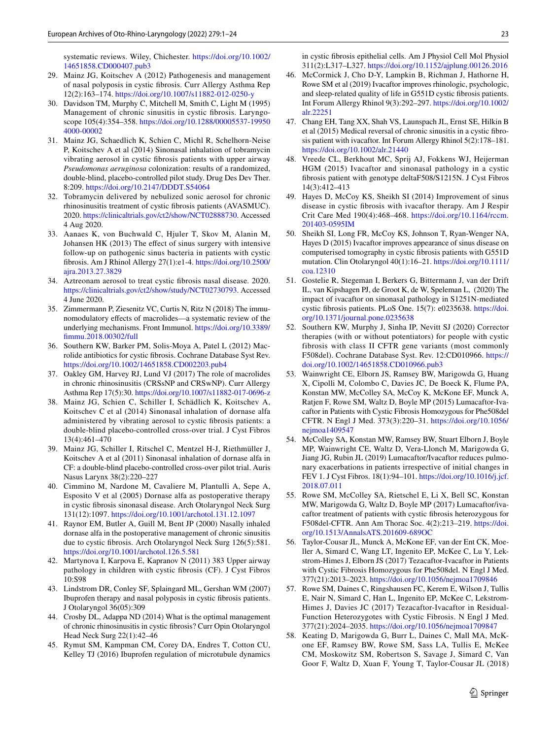systematic reviews. Wiley, Chichester. [https://doi.org/10.1002/](https://doi.org/10.1002/14651858.CD000407.pub3) [14651858.CD000407.pub3](https://doi.org/10.1002/14651858.CD000407.pub3)

- <span id="page-22-14"></span>29. Mainz JG, Koitschev A (2012) Pathogenesis and management of nasal polyposis in cystic fbrosis. Curr Allergy Asthma Rep 12(2):163–174.<https://doi.org/10.1007/s11882-012-0250-y>
- <span id="page-22-11"></span>30. Davidson TM, Murphy C, Mitchell M, Smith C, Light M (1995) Management of chronic sinusitis in cystic fbrosis. Laryngoscope 105(4):354–358. [https://doi.org/10.1288/00005537-19950](https://doi.org/10.1288/00005537-199504000-00002) [4000-00002](https://doi.org/10.1288/00005537-199504000-00002)
- <span id="page-22-12"></span>31. Mainz JG, Schaedlich K, Schien C, Michl R, Schelhorn-Neise P, Koitschev A et al (2014) Sinonasal inhalation of tobramycin vibrating aerosol in cystic fbrosis patients with upper airway *Pseudomonas aeruginosa* colonization: results of a randomized, double-blind, placebo-controlled pilot study. Drug Des Dev Ther. 8:209. <https://doi.org/10.2147/DDDT.S54064>
- <span id="page-22-15"></span>32. Tobramycin delivered by nebulized sonic aerosol for chronic rhinosinusitis treatment of cystic fbrosis patients (AVASMUC). 2020.<https://clinicaltrials.gov/ct2/show/NCT02888730>. Accessed 4 Aug 2020.
- <span id="page-22-13"></span>33. Aanaes K, von Buchwald C, Hjuler T, Skov M, Alanin M, Johansen HK (2013) The effect of sinus surgery with intensive follow-up on pathogenic sinus bacteria in patients with cystic fbrosis. Am J Rhinol Allergy 27(1):e1-4. [https://doi.org/10.2500/](https://doi.org/10.2500/ajra.2013.27.3829) [ajra.2013.27.3829](https://doi.org/10.2500/ajra.2013.27.3829)
- <span id="page-22-16"></span>34. Aztreonam aerosol to treat cystic fbrosis nasal disease. 2020. <https://clinicaltrials.gov/ct2/show/study/NCT02730793>. Accessed 4 June 2020.
- <span id="page-22-17"></span>35. Zimmermann P, Ziesenitz VC, Curtis N, Ritz N (2018) The immunomodulatory efects of macrolides—a systematic review of the underlying mechanisms. Front Immunol. [https://doi.org/10.3389/](https://doi.org/10.3389/fimmu.2018.00302/full) [fmmu.2018.00302/full](https://doi.org/10.3389/fimmu.2018.00302/full)
- <span id="page-22-18"></span>36. Southern KW, Barker PM, Solis-Moya A, Patel L (2012) Macrolide antibiotics for cystic fbrosis. Cochrane Database Syst Rev. <https://doi.org/10.1002/14651858.CD002203.pub4>
- <span id="page-22-19"></span>37. Oakley GM, Harvey RJ, Lund VJ (2017) The role of macrolides in chronic rhinosinusitis (CRSsNP and CRSwNP). Curr Allergy Asthma Rep 17(5):30.<https://doi.org/10.1007/s11882-017-0696-z>
- <span id="page-22-0"></span>38. Mainz JG, Schien C, Schiller I, Schädlich K, Koitschev A, Koitschev C et al (2014) Sinonasal inhalation of dornase alfa administered by vibrating aerosol to cystic fbrosis patients: a double-blind placebo-controlled cross-over trial. J Cyst Fibros 13(4):461–470
- <span id="page-22-20"></span>39. Mainz JG, Schiller I, Ritschel C, Mentzel H-J, Riethmüller J, Koitschev A et al (2011) Sinonasal inhalation of dornase alfa in CF: a double-blind placebo-controlled cross-over pilot trial. Auris Nasus Larynx 38(2):220–227
- <span id="page-22-1"></span>40. Cimmino M, Nardone M, Cavaliere M, Plantulli A, Sepe A, Esposito V et al (2005) Dornase alfa as postoperative therapy in cystic fbrosis sinonasal disease. Arch Otolaryngol Neck Surg 131(12):1097.<https://doi.org/10.1001/archotol.131.12.1097>
- <span id="page-22-2"></span>41. Raynor EM, Butler A, Guill M, Bent JP (2000) Nasally inhaled dornase alfa in the postoperative management of chronic sinusitis due to cystic fbrosis. Arch Otolaryngol Neck Surg 126(5):581. <https://doi.org/10.1001/archotol.126.5.581>
- <span id="page-22-3"></span>42. Martynova I, Karpova E, Kapranov N (2011) 383 Upper airway pathology in children with cystic fbrosis (CF). J Cyst Fibros 10:S98
- <span id="page-22-10"></span>43. Lindstrom DR, Conley SF, Splaingard ML, Gershan WM (2007) Ibuprofen therapy and nasal polyposis in cystic fbrosis patients. J Otolaryngol 36(05):309
- <span id="page-22-21"></span>44. Crosby DL, Adappa ND (2014) What is the optimal management of chronic rhinosinusitis in cystic fbrosis? Curr Opin Otolaryngol Head Neck Surg 22(1):42–46
- <span id="page-22-22"></span>45. Rymut SM, Kampman CM, Corey DA, Endres T, Cotton CU, Kelley TJ (2016) Ibuprofen regulation of microtubule dynamics

in cystic fbrosis epithelial cells. Am J Physiol Cell Mol Physiol 311(2):L317–L327.<https://doi.org/10.1152/ajplung.00126.2016>

- <span id="page-22-8"></span>46. McCormick J, Cho D-Y, Lampkin B, Richman J, Hathorne H, Rowe SM et al (2019) Ivacaftor improves rhinologic, psychologic, and sleep-related quality of life in G551D cystic fbrosis patients. Int Forum Allergy Rhinol 9(3):292–297. [https://doi.org/10.1002/](https://doi.org/10.1002/alr.22251) [alr.22251](https://doi.org/10.1002/alr.22251)
- <span id="page-22-4"></span>47. Chang EH, Tang XX, Shah VS, Launspach JL, Ernst SE, Hilkin B et al (2015) Medical reversal of chronic sinusitis in a cystic fbrosis patient with ivacaftor. Int Forum Allergy Rhinol 5(2):178–181. <https://doi.org/10.1002/alr.21440>
- <span id="page-22-5"></span>48. Vreede CL, Berkhout MC, Sprij AJ, Fokkens WJ, Heijerman HGM (2015) Ivacaftor and sinonasal pathology in a cystic fbrosis patient with genotype deltaF508/S1215N. J Cyst Fibros 14(3):412–413
- <span id="page-22-6"></span>49. Hayes D, McCoy KS, Sheikh SI (2014) Improvement of sinus disease in cystic fbrosis with ivacaftor therapy. Am J Respir Crit Care Med 190(4):468–468. [https://doi.org/10.1164/rccm.](https://doi.org/10.1164/rccm.201403-0595IM) [201403-0595IM](https://doi.org/10.1164/rccm.201403-0595IM)
- <span id="page-22-7"></span>50. Sheikh SI, Long FR, McCoy KS, Johnson T, Ryan-Wenger NA, Hayes D (2015) Ivacaftor improves appearance of sinus disease on computerised tomography in cystic fbrosis patients with G551D mutation. Clin Otolaryngol 40(1):16–21. [https://doi.org/10.1111/](https://doi.org/10.1111/coa.12310) [coa.12310](https://doi.org/10.1111/coa.12310)
- <span id="page-22-9"></span>51. Gostelie R, Stegeman I, Berkers G, Bittermann J, van der Drift IL, van Kipshagen PJ, de Groot K, de W, Speleman L, (2020) The impact of ivacaftor on sinonasal pathology in S1251N-mediated cystic fbrosis patients. PLoS One. 15(7): e0235638. [https://doi.](https://doi.org/10.1371/journal.pone.0235638) [org/10.1371/journal.pone.0235638](https://doi.org/10.1371/journal.pone.0235638)
- <span id="page-22-23"></span>52. Southern KW, Murphy J, Sinha IP, Nevitt SJ (2020) Corrector therapies (with or without potentiators) for people with cystic fibrosis with class II CFTR gene variants (most commonly F508del). Cochrane Database Syst. Rev. 12:CD010966. [https://](https://doi.org/10.1002/14651858.CD010966.pub3) [doi.org/10.1002/14651858.CD010966.pub3](https://doi.org/10.1002/14651858.CD010966.pub3)
- <span id="page-22-24"></span>53. Wainwright CE, Elborn JS, Ramsey BW, Marigowda G, Huang X, Cipolli M, Colombo C, Davies JC, De Boeck K, Flume PA, Konstan MW, McColley SA, McCoy K, McKone EF, Munck A, Ratjen F, Rowe SM, Waltz D, Boyle MP (2015) Lumacaftor-Ivacaftor in Patients with Cystic Fibrosis Homozygous for Phe508del CFTR. N Engl J Med. 373(3):220–31. [https://doi.org/10.1056/](https://doi.org/10.1056/nejmoa1409547) [nejmoa1409547](https://doi.org/10.1056/nejmoa1409547)
- <span id="page-22-25"></span>54. McColley SA, Konstan MW, Ramsey BW, Stuart Elborn J, Boyle MP, Wainwright CE, Waltz D, Vera-Llonch M, Marigowda G, Jiang JG, Rubin JL (2019) Lumacaftor/Ivacaftor reduces pulmonary exacerbations in patients irrespective of initial changes in FEV 1. J Cyst Fibros. 18(1):94–101. [https://doi.org/10.1016/j.jcf.](https://doi.org/10.1016/j.jcf.2018.07.011) [2018.07.011](https://doi.org/10.1016/j.jcf.2018.07.011)
- <span id="page-22-26"></span>55. Rowe SM, McColley SA, Rietschel E, Li X, Bell SC, Konstan MW, Marigowda G, Waltz D, Boyle MP (2017) Lumacaftor/ivacaftor treatment of patients with cystic fbrosis heterozygous for F508del-CFTR. Ann Am Thorac Soc. 4(2):213–219. [https://doi.](https://doi.org/10.1513/AnnalsATS.201609-689OC) [org/10.1513/AnnalsATS.201609-689OC](https://doi.org/10.1513/AnnalsATS.201609-689OC)
- <span id="page-22-27"></span>56. Taylor-Cousar JL, Munck A, McKone EF, van der Ent CK, Moeller A, Simard C, Wang LT, Ingenito EP, McKee C, Lu Y, Lekstrom-Himes J, Elborn JS (2017) Tezacaftor-Ivacaftor in Patients with Cystic Fibrosis Homozygous for Phe508del. N Engl J Med. 377(21):2013–2023. <https://doi.org/10.1056/nejmoa1709846>
- <span id="page-22-28"></span>57. Rowe SM, Daines C, Ringshausen FC, Kerem E, Wilson J, Tullis E, Nair N, Simard C, Han L, Ingenito EP, McKee C, Lekstrom-Himes J, Davies JC (2017) Tezacaftor-Ivacaftor in Residual-Function Heterozygotes with Cystic Fibrosis. N Engl J Med. 377(21):2024–2035. <https://doi.org/10.1056/nejmoa1709847>
- <span id="page-22-29"></span>58. Keating D, Marigowda G, Burr L, Daines C, Mall MA, McKone EF, Ramsey BW, Rowe SM, Sass LA, Tullis E, McKee CM, Moskowitz SM, Robertson S, Savage J, Simard C, Van Goor F, Waltz D, Xuan F, Young T, Taylor-Cousar JL (2018)